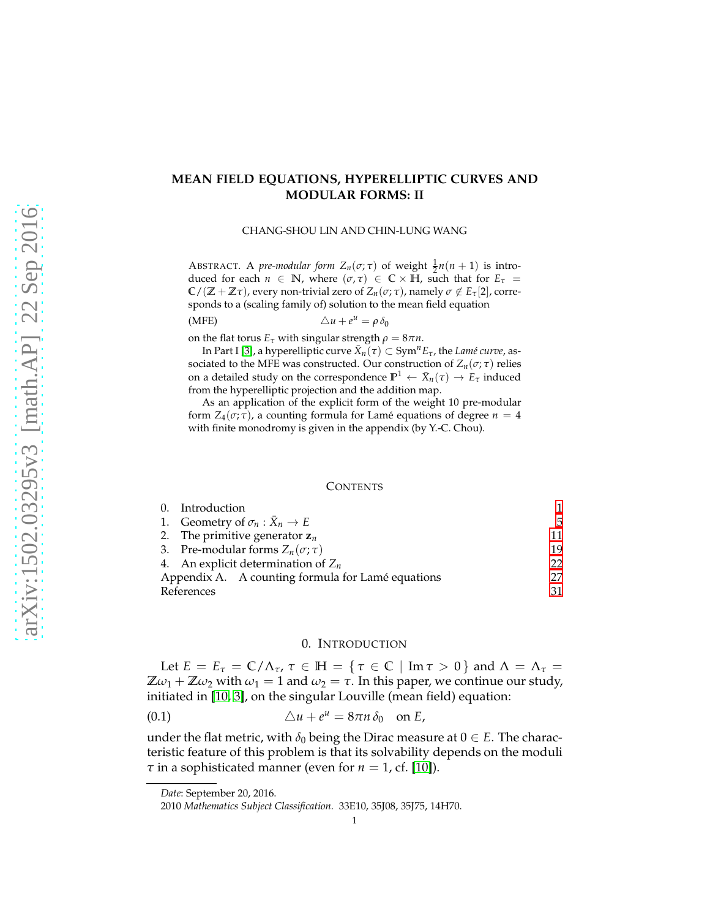# **MEAN FIELD EQUATIONS, HYPERELLIPTIC CURVES AND MODULAR FORMS: II**

CHANG-SHOU LIN AND CHIN-LUNG WANG

ABSTRACT. A *pre-modular form*  $Z_n(\sigma;\tau)$  of weight  $\frac{1}{2}n(n+1)$  is introduced for each  $n \in \mathbb{N}$ , where  $(\sigma, \tau) \in \mathbb{C} \times \mathbb{H}$ , such that for  $E_{\tau} =$  $\mathbb{C}/(\mathbb{Z} + \mathbb{Z}\tau)$ , every non-trivial zero of  $Z_n(\sigma;\tau)$ , namely  $\sigma \notin E_\tau[2]$ , corresponds to a (scaling family of) solution to the mean field equation

$$
(MFE) \qquad \qquad \triangle u + e^u = \rho \, \delta_0
$$

on the flat torus  $E_{\tau}$  with singular strength  $\rho = 8\pi n$ .

 $\text{In Part I [3], a hyperelliptic curve }\bar{X}_n(\tau)\subset \text{Sym}^n E_{\tau}$  $\text{In Part I [3], a hyperelliptic curve }\bar{X}_n(\tau)\subset \text{Sym}^n E_{\tau}$  $\text{In Part I [3], a hyperelliptic curve }\bar{X}_n(\tau)\subset \text{Sym}^n E_{\tau}$ , the *Lamé curve,* associated to the MFE was constructed. Our construction of  $Z_n(\sigma; \tau)$  relies on a detailed study on the correspondence  $\mathbb{P}^1 \leftarrow \bar{X}_n(\tau) \rightarrow E_\tau$  induced from the hyperelliptic projection and the addition map.

As an application of the explicit form of the weight 10 pre-modular form  $Z_4(\sigma; \tau)$ , a counting formula for Lamé equations of degree  $n = 4$ with finite monodromy is given in the appendix (by Y.-C. Chou).

#### **CONTENTS**

|                                                   | 0. Introduction                             |    |  |
|---------------------------------------------------|---------------------------------------------|----|--|
|                                                   | 1. Geometry of $\sigma_n : \bar{X}_n \to E$ | 5  |  |
|                                                   | 2. The primitive generator $z_n$            |    |  |
|                                                   | 3. Pre-modular forms $Z_n(\sigma; \tau)$    | 19 |  |
|                                                   | 4. An explicit determination of $Z_n$       |    |  |
| Appendix A. A counting formula for Lamé equations |                                             | 27 |  |
| References                                        | 31                                          |    |  |

### <span id="page-0-1"></span>0. INTRODUCTION

<span id="page-0-0"></span>Let  $E = E_\tau = \mathbb{C}/\Lambda_\tau$ ,  $\tau \in \mathbb{H} = {\tau \in \mathbb{C} \mid \text{Im} \tau > 0}$  and  $\Lambda = \Lambda_\tau =$  $\mathbb{Z}\omega_1 + \mathbb{Z}\omega_2$  with  $\omega_1 = 1$  and  $\omega_2 = \tau$ . In this paper, we continue our study, initiated in [\[10,](#page-30-2) [3\]](#page-30-0), on the singular Louville (mean field) equation:

$$
(0.1) \t\t\t\t\t\Delta u + e^u = 8\pi n \delta_0 \ton E,
$$

under the flat metric, with  $\delta_0$  being the Dirac measure at  $0 \in E$ . The characteristic feature of this problem is that its solvability depends on the moduli *τ* in a sophisticated manner (even for  $n = 1$ , cf. [\[10\]](#page-30-2)).

*Date*: September 20, 2016.

<sup>2010</sup> *Mathematics Subject Classification.* 33E10, 35J08, 35J75, 14H70.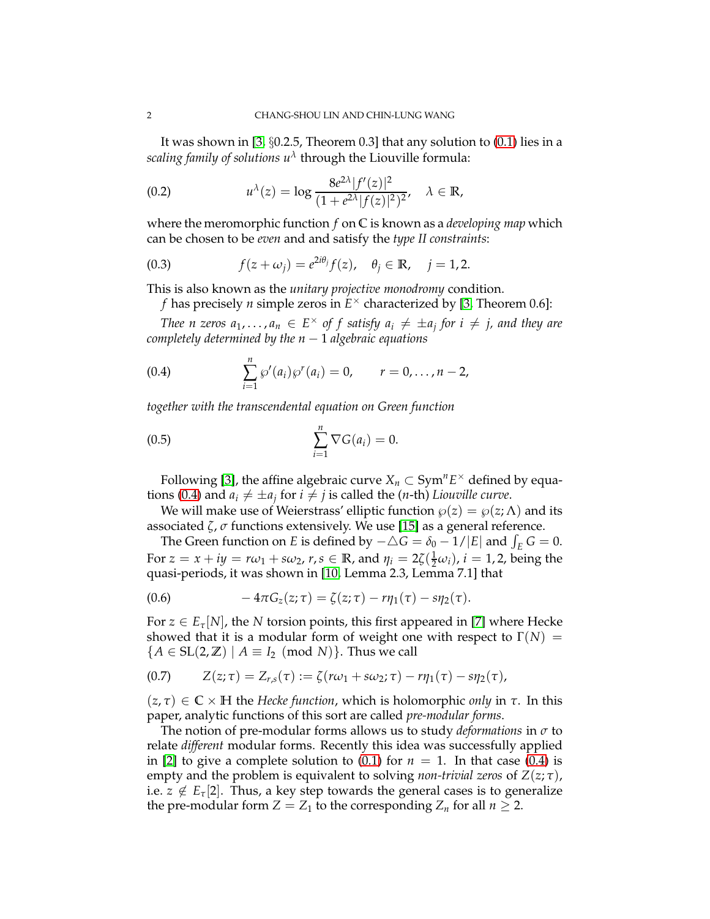It was shown in [\[3,](#page-30-0) §0.2.5, Theorem 0.3] that any solution to [\(0.1\)](#page-0-1) lies in a *scaling family of solutions u<sup>λ</sup>* through the Liouville formula:

(0.2) 
$$
u^{\lambda}(z) = \log \frac{8e^{2\lambda}|f'(z)|^2}{(1 + e^{2\lambda}|f(z)|^2)^2}, \quad \lambda \in \mathbb{R},
$$

where the meromorphic function *f* on **C** is known as a *developing map* which can be chosen to be *even* and and satisfy the *type II constraints*:

(0.3) 
$$
f(z+\omega_j) = e^{2i\theta_j} f(z), \quad \theta_j \in \mathbb{R}, \quad j=1,2.
$$

This is also known as the *unitary projective monodromy* condition.

<span id="page-1-2"></span>*f* has precisely *n* simple zeros in  $E^{\times}$  characterized by [\[3,](#page-30-0) Theorem 0.6]:

*Thee n zeros*  $a_1, \ldots, a_n \in E^\times$  of f satisfy  $a_i \neq \pm a_j$  for  $i \neq j$ , and they are *completely determined by the n* − 1 *algebraic equations*

<span id="page-1-0"></span>(0.4) 
$$
\sum_{i=1}^{n} \wp'(a_i) \wp'(a_i) = 0, \qquad r = 0, \ldots, n-2,
$$

*together with the transcendental equation on Green function*

<span id="page-1-1"></span>
$$
\sum_{i=1}^{n} \nabla G(a_i) = 0.
$$

Following [\[3\]](#page-30-0), the affine algebraic curve  $X_n \subset \text{Sym}^n E^\times$  defined by equa-tions [\(0.4\)](#page-1-0) and  $a_i \neq \pm a_j$  for  $i \neq j$  is called the (*n*-th) *Liouville curve*.

We will make use of Weierstrass' elliptic function  $\varphi(z) = \varphi(z; \Lambda)$  and its associated *ζ*, *σ* functions extensively. We use [\[15\]](#page-30-3) as a general reference.

The Green function on *E* is defined by  $-\triangle G = \delta_0 - 1/|E|$  and  $\int_E G = 0$ . For  $z = x + iy = r\omega_1 + s\omega_2$ ,  $r, s \in \mathbb{R}$ , and  $\eta_i = 2\zeta(\frac{1}{2}\omega_i)$ ,  $i = 1, 2$ , being the quasi-periods, it was shown in [\[10,](#page-30-2) Lemma 2.3, Lemma 7.1] that

<span id="page-1-3"></span>
$$
(0.6) \qquad \qquad -4\pi G_z(z;\tau)=\zeta(z;\tau)-r\eta_1(\tau)-s\eta_2(\tau).
$$

For  $z \in E_{\tau}[N]$ , the *N* torsion points, this first appeared in [\[7\]](#page-30-4) where Hecke showed that it is a modular form of weight one with respect to  $\Gamma(N) =$  ${A \in SL(2,\mathbb{Z}) \mid A \equiv I_2 \pmod{N}}$ . Thus we call

<span id="page-1-4"></span>
$$
(0.7) \qquad Z(z;\tau) = Z_{r,s}(\tau) := \zeta(r\omega_1 + s\omega_2;\tau) - r\eta_1(\tau) - s\eta_2(\tau),
$$

 $(z, \tau) \in \mathbb{C} \times \mathbb{H}$  the *Hecke function*, which is holomorphic *only* in  $\tau$ . In this paper, analytic functions of this sort are called *pre-modular forms*.

The notion of pre-modular forms allows us to study *deformations* in *σ* to relate *different* modular forms. Recently this idea was successfully applied in [\[2\]](#page-30-5) to give a complete solution to  $(0.1)$  for  $n = 1$ . In that case  $(0.4)$  is empty and the problem is equivalent to solving *non-trivial zeros* of *Z*(*z*; *τ*), i.e.  $z \notin E_{\tau}[2]$ . Thus, a key step towards the general cases is to generalize the pre-modular form  $Z = Z_1$  to the corresponding  $Z_n$  for all  $n \geq 2$ .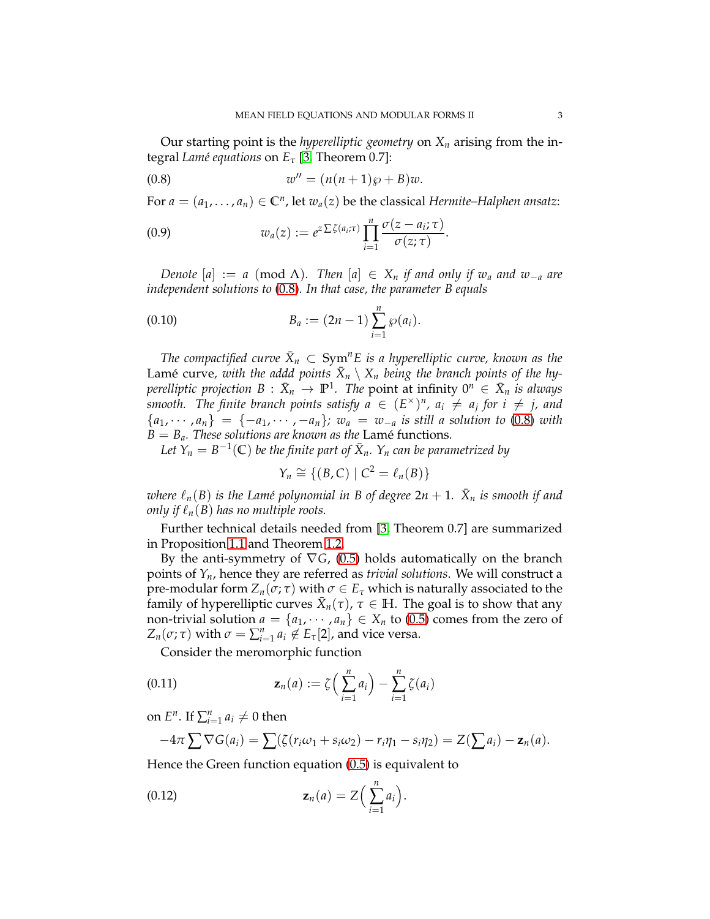Our starting point is the *hyperelliptic geometry* on *X<sup>n</sup>* arising from the integral *Lamé equations* on  $E_{\tau}$  [\[3,](#page-30-0) Theorem 0.7]:

<span id="page-2-0"></span>
$$
(0.8) \t\t\t w'' = (n(n+1)\wp + B)w.
$$

For  $a = (a_1, \ldots, a_n) \in \mathbb{C}^n$ , let  $w_a(z)$  be the classical *Hermite–Halphen ansatz*:

<span id="page-2-2"></span>(0.9) 
$$
w_a(z) := e^{z \sum \zeta(a_i;\tau)} \prod_{i=1}^n \frac{\sigma(z-a_i;\tau)}{\sigma(z;\tau)}.
$$

*Denote*  $[a] := a \pmod{\Lambda}$ *. Then*  $[a] \in X_n$  *if and only if w<sub>a</sub> and w*<sub>−*a*</sub> *are independent solutions to* [\(0.8\)](#page-2-0)*. In that case, the parameter B equals*

<span id="page-2-4"></span>(0.10) 
$$
B_a := (2n - 1) \sum_{i=1}^n \wp(a_i).
$$

The compactified curve  $\bar{X}_n \, \subset \, \text{Sym}^n E$  is a hyperelliptic curve, known as the Lamé curve, with the addd points  $\bar{X}_n \setminus X_n$  being the branch points of the hy $p$ erelliptic projection  $B$  :  $\bar{X}_n$   $\rightarrow$   $\mathbb{P}^1.$  The  $p$ oint at infinity  $0^n \, \in \, \bar{X}_n$  *is always smooth.* The finite branch points satisfy  $a \in (E^{\times})^n$ ,  $a_i \neq a_j$  for  $i \neq j$ , and  ${a_1, \dots, a_n} = {-a_1, \dots, -a_n}; w_a = w_{-a}$  *is still a solution to* [\(0.8\)](#page-2-0) *with*  $\hat{B} = B_a$ *. These solutions are known as the Lamé functions.* 

Let  $Y_n = B^{-1}(\mathbb{C})$  be the finite part of  $\bar{X}_n$ .  $Y_n$  can be parametrized by

$$
Y_n \cong \{(B,C) \mid C^2 = \ell_n(B)\}\
$$

 $\nu$  *where*  $\ell_n(B)$  *is the Lamé polynomial in B of degree* 2*n* + 1*.*  $\bar{X}_n$  *is smooth if and only if*  $\ell_n(B)$  *has no multiple roots.* 

Further technical details needed from [\[3,](#page-30-0) Theorem 0.7] are summarized in Proposition [1.1](#page-5-0) and Theorem [1.2.](#page-6-0)

By the anti-symmetry of ∇*G*, [\(0.5\)](#page-1-1) holds automatically on the branch points of *Yn*, hence they are referred as *trivial solutions*. We will construct a pre-modular form  $Z_n(\sigma; \tau)$  with  $\sigma \in E_\tau$  which is naturally associated to the family of hyperelliptic curves  $\bar{X}_n(\tau)$ ,  $\tau \in \mathbb{H}$ . The goal is to show that any non-trivial solution  $a = \{a_1, \dots, a_n\} \in X_n$  to [\(0.5\)](#page-1-1) comes from the zero of  $Z_n(\sigma; \tau)$  with  $\sigma = \sum_{i=1}^n a_i \notin E_{\tau}[2]$ , and vice versa.

<span id="page-2-1"></span>Consider the meromorphic function

(0.11) 
$$
\mathbf{z}_n(a) := \zeta \Big( \sum_{i=1}^n a_i \Big) - \sum_{i=1}^n \zeta(a_i)
$$

on  $E^n$ . If  $\sum_{i=1}^n a_i \neq 0$  then

<span id="page-2-3"></span>
$$
-4\pi \sum \nabla G(a_i) = \sum (\zeta(r_i\omega_1 + s_i\omega_2) - r_i\eta_1 - s_i\eta_2) = Z(\sum a_i) - \mathbf{z}_n(a).
$$

Hence the Green function equation [\(0.5\)](#page-1-1) is equivalent to

(0.12) 
$$
\mathbf{z}_n(a) = Z\Big(\sum_{i=1}^n a_i\Big).
$$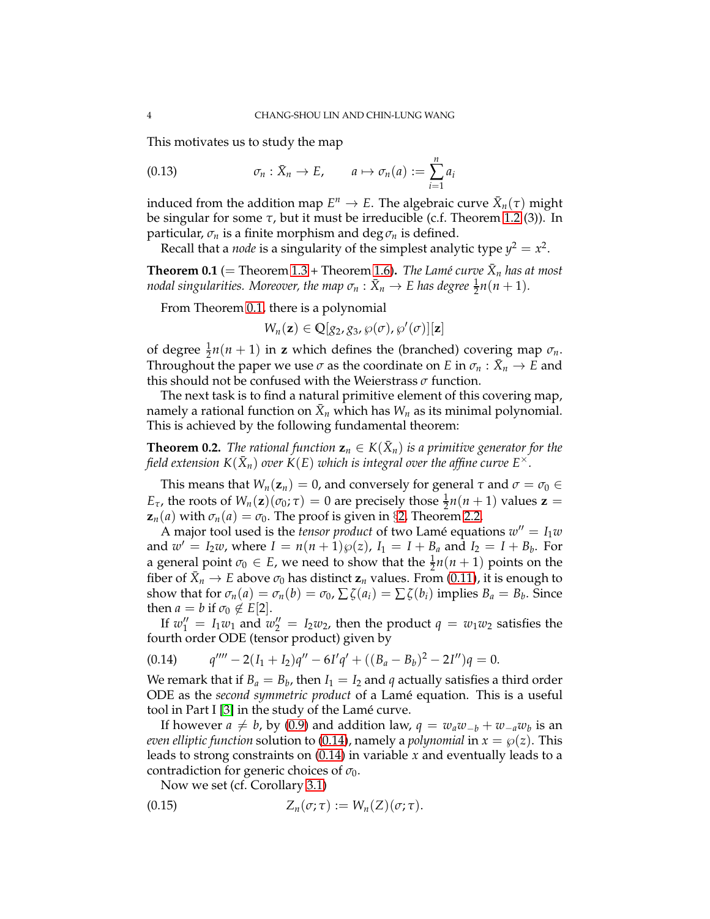This motivates us to study the map

<span id="page-3-3"></span>(0.13) 
$$
\sigma_n : \bar{X}_n \to E, \qquad a \mapsto \sigma_n(a) := \sum_{i=1}^n a_i
$$

induced from the addition map  $E^n \to E$ . The algebraic curve  $\bar{X}_n(\tau)$  might be singular for some  $\tau$ , but it must be irreducible (c.f. Theorem [1.2](#page-6-0) (3)). In particular,  $\sigma_n$  is a finite morphism and deg  $\sigma_n$  is defined.

Recall that a *node* is a singularity of the simplest analytic type  $y^2 = x^2$ .

<span id="page-3-0"></span>**Theorem 0.1** (= Theorem [1.3](#page-6-1) + Theorem [1.6\)](#page-8-0). *The Lamé curve*  $\bar{X}_n$  *has at most nodal singularities. Moreover, the map*  $\sigma_n : \bar{X}_n \to E$  *has degree*  $\frac{1}{2}n(n+1)$ *.* 

From Theorem [0.1,](#page-3-0) there is a polynomial

$$
W_n(\mathbf{z}) \in \mathbb{Q}[g_2, g_3, \wp(\sigma), \wp'(\sigma)][\mathbf{z}]
$$

of degree  $\frac{1}{2}n(n+1)$  in **z** which defines the (branched) covering map  $\sigma_n$ . Throughout the paper we use  $\sigma$  as the coordinate on *E* in  $\sigma_n : \bar{X}_n \to E$  and this should not be confused with the Weierstrass *σ* function.

The next task is to find a natural primitive element of this covering map, namely a rational function on  $\bar{X}_n$  which has  $W_n$  as its minimal polynomial. This is achieved by the following fundamental theorem:

<span id="page-3-4"></span>**Theorem 0.2.** The rational function  $z_n \in K(\bar{X}_n)$  is a primitive generator for the field extension  $K({\bar{X}}_n)$  over  $\dot{K}(E)$  which is integral over the affine curve  $E^\times$ .

This means that  $W_n(\mathbf{z}_n) = 0$ , and conversely for general  $\tau$  and  $\sigma = \sigma_0 \in \mathcal{C}$ *E*<sub>τ</sub>, the roots of  $W_n(\mathbf{z}) (\sigma_0; \tau) = 0$  are precisely those  $\frac{1}{2}n(n+1)$  values  $\mathbf{z} =$  $z_n(a)$  with  $\sigma_n(a) = \sigma_0$ . The proof is given in §[2,](#page-10-0) Theorem [2.2.](#page-10-1)

A major tool used is the *tensor product* of two Lamé equations  $w'' = I_1w$ and  $w' = I_2w$ , where  $I = n(n+1)\wp(z)$ ,  $I_1 = I + B_a$  and  $I_2 = I + B_b$ . For a general point  $\sigma_0 \in E$ , we need to show that the  $\frac{1}{2}n(n+1)$  points on the fiber of  $\bar{X}_n \to E$  above  $\sigma_0$  has distinct  $z_n$  values. From [\(0.11\)](#page-2-1), it is enough to show that for  $\sigma_n(a) = \sigma_n(b) = \sigma_0$ ,  $\sum \zeta(a_i) = \sum \zeta(b_i)$  implies  $B_a = B_b$ . Since then  $a = b$  if  $\sigma_0 \notin E[2]$ .

If  $w_1'' = I_1w_1$  and  $w_2'' = I_2w_2$ , then the product  $q = w_1w_2$  satisfies the fourth order ODE (tensor product) given by

<span id="page-3-1"></span>
$$
(0.14) \tq'''' - 2(I_1 + I_2)q'' - 6I'q' + ((B_a - B_b)^2 - 2I'')q = 0.
$$

We remark that if  $B_a = B_b$ , then  $I_1 = I_2$  and  $q$  actually satisfies a third order ODE as the *second symmetric product* of a Lam´e equation. This is a useful tool in Part I [\[3\]](#page-30-0) in the study of the Lamé curve.

If however  $a \neq b$ , by [\(0.9\)](#page-2-2) and addition law,  $q = w_a w_{-b} + w_{-a} w_b$  is an *even elliptic function* solution to [\(0.14\)](#page-3-1), namely a *polynomial* in  $x = \wp(z)$ . This leads to strong constraints on [\(0.14\)](#page-3-1) in variable *x* and eventually leads to a contradiction for generic choices of *σ*0.

<span id="page-3-2"></span>Now we set (cf. Corollary [3.1\)](#page-18-1)

$$
(0.15) \t\t Z_n(\sigma;\tau) := W_n(Z)(\sigma;\tau).
$$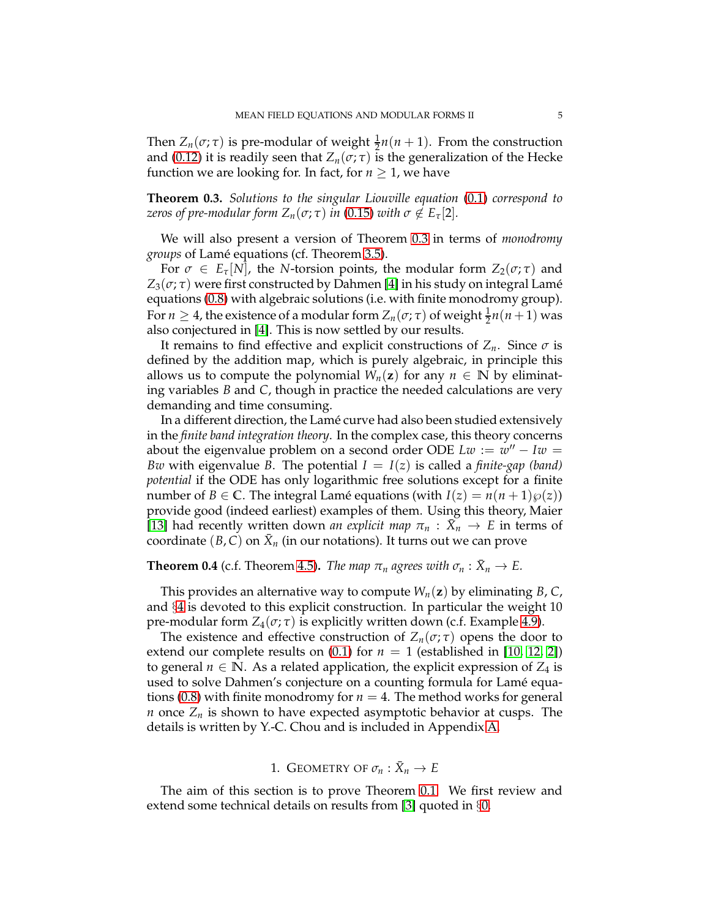Then  $Z_n(\sigma; \tau)$  is pre-modular of weight  $\frac{1}{2}n(n + 1)$ . From the construction and [\(0.12\)](#page-2-3) it is readily seen that  $Z_n(\sigma; \tau)$  is the generalization of the Hecke function we are looking for. In fact, for  $n \geq 1$ , we have

<span id="page-4-1"></span>**Theorem 0.3.** *Solutions to the singular Liouville equation* [\(0.1\)](#page-0-1) *correspond to zeros of pre-modular form*  $Z_n(\sigma; \tau)$  *in* [\(0.15\)](#page-3-2) *with*  $\sigma \notin E_\tau[2]$ *.* 

We will also present a version of Theorem [0.3](#page-4-1) in terms of *monodromy groups* of Lam´e equations (cf. Theorem [3.5\)](#page-20-0).

For  $\sigma \in E_{\tau}[N]$ , the *N*-torsion points, the modular form  $Z_2(\sigma;\tau)$  and  $Z_3(\sigma;\tau)$  were first constructed by Dahmen [\[4\]](#page-30-6) in his study on integral Lamé equations [\(0.8\)](#page-2-0) with algebraic solutions (i.e. with finite monodromy group). For  $n \geq 4$ , the existence of a modular form  $Z_n(\sigma; \tau)$  of weight  $\frac{1}{2}n(n+1)$  was also conjectured in [\[4\]](#page-30-6). This is now settled by our results.

It remains to find effective and explicit constructions of  $Z_n$ . Since  $\sigma$  is defined by the addition map, which is purely algebraic, in principle this allows us to compute the polynomial  $W_n(z)$  for any  $n \in \mathbb{N}$  by eliminating variables *B* and *C*, though in practice the needed calculations are very demanding and time consuming.

In a different direction, the Lamé curve had also been studied extensively in the *finite band integration theory*. In the complex case, this theory concerns about the eigenvalue problem on a second order ODE  $Lw := w'' - Iw =$ *Bw* with eigenvalue *B*. The potential  $I = I(z)$  is called a *finite-gap* (*band*) *potential* if the ODE has only logarithmic free solutions except for a finite number of *B*  $\in$  **C**. The integral Lamé equations (with *I*(*z*) = *n*(*n* + 1) $\varphi$ (*z*)) provide good (indeed earliest) examples of them. Using this theory, Maier [\[13\]](#page-30-7) had recently written down *an explicit map*  $\pi_n$  :  $\bar{X}_n \to E$  in terms of coordinate  $(B, C)$  on  $\bar{X}_n$  (in our notations). It turns out we can prove

**Theorem 0.4** (c.f. Theorem [4.5\)](#page-23-0). *The map*  $\pi_n$  *agrees with*  $\sigma_n : \bar{X}_n \to E$ .

This provides an alternative way to compute  $W_n(z)$  by eliminating *B*, *C*, and §[4](#page-21-0) is devoted to this explicit construction. In particular the weight 10 pre-modular form  $Z_4(\sigma;\tau)$  is explicitly written down (c.f. Example [4.9\)](#page-24-0).

The existence and effective construction of  $Z_n(\sigma; \tau)$  opens the door to extend our complete results on  $(0.1)$  for  $n = 1$  (established in [\[10,](#page-30-2) [12,](#page-30-8) [2\]](#page-30-5)) to general  $n \in \mathbb{N}$ . As a related application, the explicit expression of  $Z_4$  is used to solve Dahmen's conjecture on a counting formula for Lamé equa-tions [\(0.8\)](#page-2-0) with finite monodromy for  $n = 4$ . The method works for general *n* once  $Z_n$  is shown to have expected asymptotic behavior at cusps. The details is written by Y.-C. Chou and is included in Appendix [A.](#page-26-0)

# 1. GEOMETRY OF  $\sigma_n : \bar{X}_n \to E$

<span id="page-4-0"></span>The aim of this section is to prove Theorem [0.1.](#page-3-0) We first review and extend some technical details on results from [\[3\]](#page-30-0) quoted in §[0.](#page-0-0)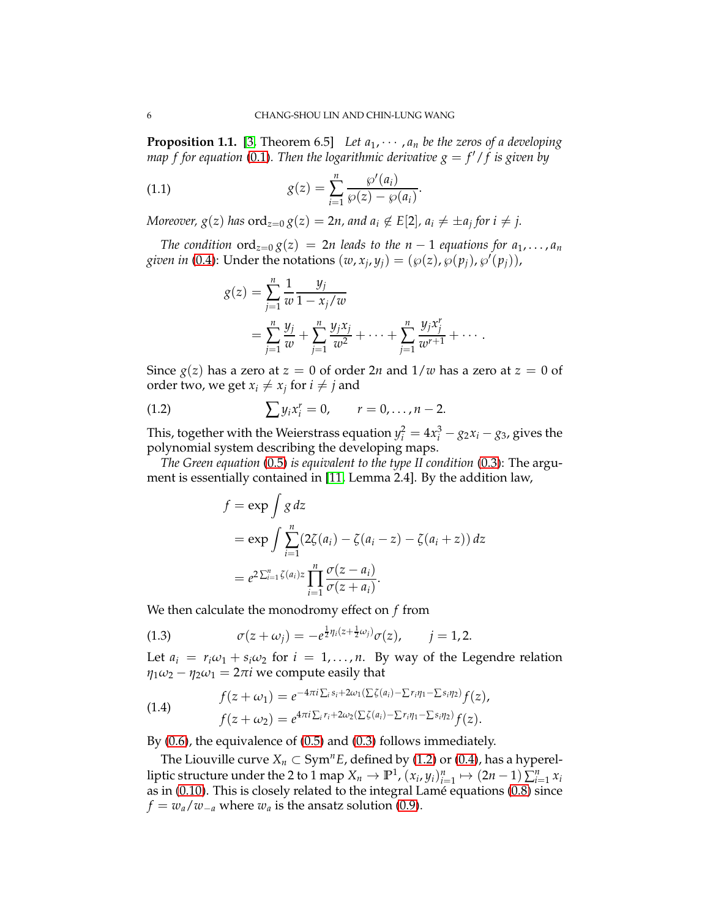<span id="page-5-0"></span>**Proposition 1.1.** [\[3,](#page-30-0) Theorem 6.5] Let  $a_1, \dots, a_n$  be the zeros of a developing *map f for equation* [\(0.1\)](#page-0-1). Then the logarithmic derivative  $g = f'/f$  is given by

<span id="page-5-2"></span>(1.1) 
$$
g(z) = \sum_{i=1}^{n} \frac{\wp'(a_i)}{\wp(z) - \wp(a_i)}.
$$

*Moreover, g*(*z*) has  $\text{ord}_{z=0}$   $g(z) = 2n$ , and  $a_i \not\in E[2]$ ,  $a_i \neq \pm a_j$  for  $i \neq j$ .

*The condition*  $\text{ord}_{z=0} g(z) = 2n$  *leads to the*  $n-1$  *equations for*  $a_1, \ldots, a_n$ *given in* [\(0.4\)](#page-1-0): Under the notations  $(w, x_j, y_j) = (\wp(z), \wp(p_j), \wp'(p_j))$ ,

$$
g(z) = \sum_{j=1}^{n} \frac{1}{w} \frac{y_j}{1 - x_j/w}
$$
  
= 
$$
\sum_{j=1}^{n} \frac{y_j}{w} + \sum_{j=1}^{n} \frac{y_j x_j}{w^2} + \dots + \sum_{j=1}^{n} \frac{y_j x_j^r}{w^{r+1}} + \dots
$$

Since  $g(z)$  has a zero at  $z = 0$  of order 2*n* and  $1/w$  has a zero at  $z = 0$  of order two, we get  $x_i \neq x_j$  for  $i \neq j$  and

(1.2) 
$$
\sum y_i x_i^r = 0, \qquad r = 0, \ldots, n-2.
$$

This, together with the Weierstrass equation  $y_i^2 = 4x_i^3 - g_2x_i - g_3$ , gives the polynomial system describing the developing maps.

*The Green equation* [\(0.5\)](#page-1-1) *is equivalent to the type II condition* [\(0.3\)](#page-1-2): The argument is essentially contained in [\[11,](#page-30-9) Lemma 2.4]. By the addition law,

<span id="page-5-1"></span>
$$
f = \exp \int g dz
$$
  
=  $\exp \int \sum_{i=1}^{n} (2\zeta(a_i) - \zeta(a_i - z) - \zeta(a_i + z)) dz$   
=  $e^{2\sum_{i=1}^{n} \zeta(a_i)z} \prod_{i=1}^{n} \frac{\sigma(z - a_i)}{\sigma(z + a_i)}$ .

We then calculate the monodromy effect on *f* from

<span id="page-5-4"></span>(1.3) 
$$
\sigma(z + \omega_j) = -e^{\frac{1}{2}\eta_i(z + \frac{1}{2}\omega_j)}\sigma(z), \quad j = 1, 2.
$$

Let  $a_i = r_i \omega_1 + s_i \omega_2$  for  $i = 1, ..., n$ . By way of the Legendre relation  $\eta_1 \omega_2 - \eta_2 \omega_1 = 2\pi i$  we compute easily that

<span id="page-5-3"></span>(1.4) 
$$
f(z+\omega_1) = e^{-4\pi i \sum_i s_i + 2\omega_1(\sum_i \zeta(a_i) - \sum r_i \eta_1 - \sum s_i \eta_2)} f(z),
$$

$$
f(z+\omega_2) = e^{4\pi i \sum_i r_i + 2\omega_2(\sum_i \zeta(a_i) - \sum r_i \eta_1 - \sum s_i \eta_2)} f(z).
$$

By [\(0.6\)](#page-1-3), the equivalence of [\(0.5\)](#page-1-1) and [\(0.3\)](#page-1-2) follows immediately.

The Liouville curve  $X_n \subset Sym^n E$ , defined by [\(1.2\)](#page-5-1) or [\(0.4\)](#page-1-0), has a hyperelliptic structure under the 2 to 1 map  $X_n \to \mathbb{P}^1$ ,  $(x_i, y_i)_{i=1}^n \mapsto (2n-1) \sum_{i=1}^n x_i$ as in  $(0.10)$ . This is closely related to the integral Lamé equations  $(0.8)$  since  $f = w_a/w_{-a}$  where  $w_a$  is the ansatz solution [\(0.9\)](#page-2-2).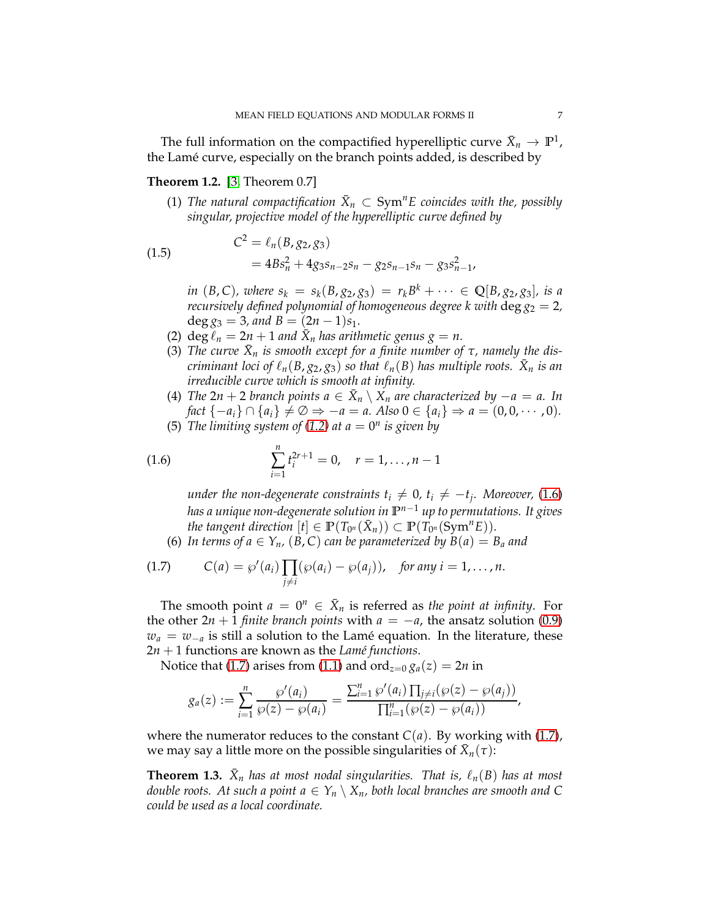The full information on the compactified hyperelliptic curve  $\bar{X}_n \to \mathbb{P}^1$ , the Lamé curve, especially on the branch points added, is described by

# <span id="page-6-0"></span>**Theorem 1.2.** [\[3,](#page-30-0) Theorem 0.7]

(1) The natural compactification  $\bar{X}_n \subset \text{Sym}^n E$  coincides with the, possibly *singular, projective model of the hyperelliptic curve defined by*

(1.5) 
$$
C^2 = \ell_n(B, g_2, g_3) = 4Bs_n^2 + 4g_3s_{n-2}s_n - g_2s_{n-1}s_n - g_3s_{n-1}^2,
$$

*in*  $(B, C)$ *, where*  $s_k = s_k(B, g_2, g_3) = r_k B^k + \cdots \in \mathbb{Q}[B, g_2, g_3]$ *, is a recursively defined polynomial of homogeneous degree k with*  $\deg g_2 = 2$ ,  $\deg g_3 = 3$ *, and*  $B = (2n - 1)s_1$ *.* 

- (2)  $\deg \overline{\ell}_n = 2n + 1$  and  $\overline{X}_n$  has arithmetic genus  $g = n$ .
- (3) The curve  $\bar{X}_n$  is smooth except for a finite number of  $\tau$ , namely the dis*criminant loci of*  $\ell_n(B,g_2,g_3)$  *so that*  $\ell_n(B)$  *has multiple roots.*  $\bar{X}_n$  *is an irreducible curve which is smooth at infinity.*
- (4) *The*  $2n + 2$  *branch points*  $a \in \overline{X}_n \setminus X_n$  *are characterized by* −*a* = *a. In fact*  $\{-a_i\} \cap \{a_i\} \neq \emptyset \Rightarrow -a = a$ . Also  $0 \in \{a_i\} \Rightarrow a = (0, 0, \dots, 0)$ .
- (5) *The limiting system of [\(1.2\)](#page-5-1)* at  $a = 0^n$  *is given by*

(1.6) 
$$
\sum_{i=1}^{n} t_i^{2r+1} = 0, \quad r = 1, \ldots, n-1
$$

<span id="page-6-2"></span>*under the non-degenerate constraints*  $t_i \neq 0$ *,*  $t_i \neq -t_j$ *. Moreover,* [\(1.6\)](#page-6-2) *has a unique non-degenerate solution in* **P** *<sup>n</sup>*−<sup>1</sup> *up to permutations. It gives the tangent direction*  $[t] \in \mathbb{P}(T_{0^n}(\bar{X}_n)) \subset \mathbb{P}(T_{0^n}(\text{Sym}^n E)).$ 

<span id="page-6-3"></span>(6) In terms of  $a \in Y_n$ ,  $(B, C)$  can be parameterized by  $B(a) = B_a$  and

(1.7) 
$$
C(a) = \wp'(a_i) \prod_{j \neq i} (\wp(a_i) - \wp(a_j)), \text{ for any } i = 1, ..., n.
$$

The smooth point  $a = 0^n \in \overline{X}_n$  is referred as *the point at infinity*. For the other  $2n + 1$  *finite branch points* with  $a = -a$ , the ansatz solution [\(0.9\)](#page-2-2)  $w_a = w_{-a}$  is still a solution to the Lamé equation. In the literature, these  $2n + 1$  functions are known as the *Lamé functions*.

Notice that [\(1.7\)](#page-6-3) arises from [\(1.1\)](#page-5-2) and ord<sub> $z=0$ </sub>  $g_a(z) = 2n$  in

$$
g_a(z) := \sum_{i=1}^n \frac{\wp'(a_i)}{\wp(z) - \wp(a_i)} = \frac{\sum_{i=1}^n \wp'(a_i) \prod_{j \neq i} (\wp(z) - \wp(a_j))}{\prod_{i=1}^n (\wp(z) - \wp(a_i))},
$$

where the numerator reduces to the constant  $C(a)$ . By working with [\(1.7\)](#page-6-3), we may say a little more on the possible singularities of  $\bar{X}_n(\tau)$ :

<span id="page-6-1"></span>**Theorem 1.3.**  $\bar{X}_n$  *has at most nodal singularities. That is,*  $\ell_n(B)$  *has at most double roots. At such a point*  $a \in Y_n \setminus X_n$ *, both local branches are smooth and* C *could be used as a local coordinate.*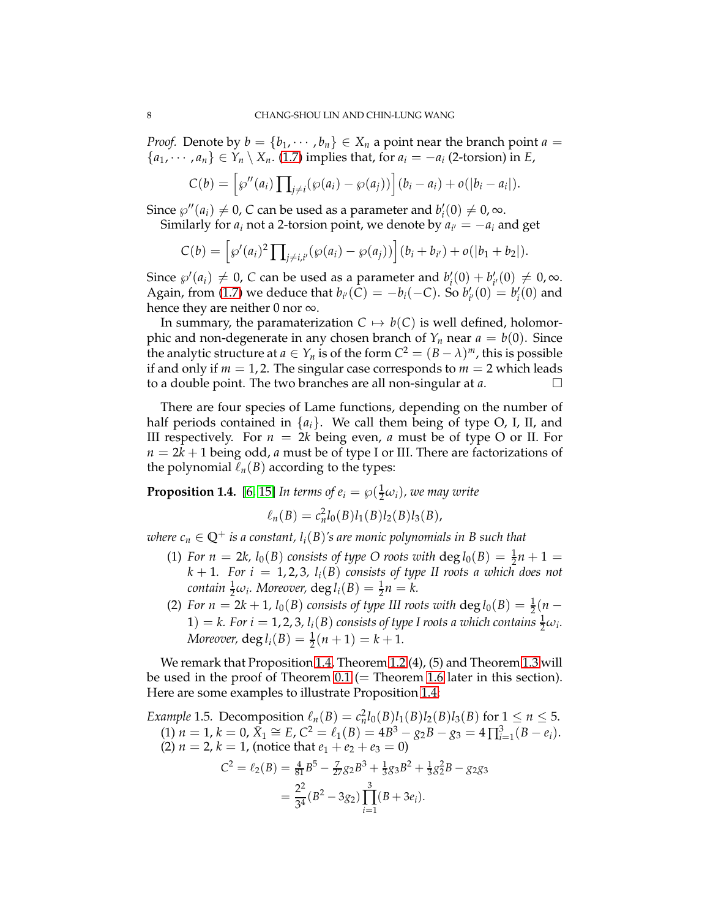*Proof.* Denote by  $b = \{b_1, \dots, b_n\} \in X_n$  a point near the branch point  $a =$  ${a_1, \dots, a_n} \in Y_n \setminus X_n$ . [\(1.7\)](#page-6-3) implies that, for  $a_i = -a_i$  (2-torsion) in *E*,

$$
C(b) = \left[ \wp''(a_i) \prod_{j \neq i} (\wp(a_i) - \wp(a_j)) \right] (b_i - a_i) + o(|b_i - a_i|).
$$

Since  $\wp''(a_i) \neq 0$ , *C* can be used as a parameter and  $b'_i(0) \neq 0$ ,  $\infty$ . Similarly for  $a_i$  not a 2-torsion point, we denote by  $a_{i'} = -a_i$  and get

$$
C(b) = [\wp'(a_i)^2 \prod_{j \neq i,i'} (\wp(a_i) - \wp(a_j))] (b_i + b_{i'}) + o(|b_1 + b_2|).
$$

Since  $\wp'(a_i) \neq 0$ , *C* can be used as a parameter and  $b'_i(0) + b'_{i'}(0) \neq 0$ ,  $\infty$ . Again, from [\(1.7\)](#page-6-3) we deduce that  $b_{i'}(C) = -b_i(-C)$ . So  $b'_{i'}(0) = b'_{i}(0)$  and hence they are neither 0 nor  $\infty$ .

In summary, the paramaterization  $C \mapsto b(C)$  is well defined, holomorphic and non-degenerate in any chosen branch of  $Y_n$  near  $a = b(0)$ . Since the analytic structure at  $a \in Y_n$  is of the form  $C^2 = (B - \lambda)^m$ , this is possible if and only if  $m = 1, 2$ . The singular case corresponds to  $m = 2$  which leads to a double point. The two branches are all non-singular at *a*.

There are four species of Lame functions, depending on the number of half periods contained in  $\{a_i\}$ . We call them being of type O, I, II, and III respectively. For  $n = 2k$  being even, *a* must be of type O or II. For  $n = 2k + 1$  being odd, *a* must be of type I or III. There are factorizations of the polynomial  $\ell_n(B)$  according to the types:

<span id="page-7-0"></span>**Proposition 1.4.** [\[6,](#page-30-10) [15\]](#page-30-3) *In terms of*  $e_i = \wp(\frac{1}{2}\omega_i)$ *, we may write* 

$$
\ell_n(B) = c_n^2 l_0(B) l_1(B) l_2(B) l_3(B),
$$

*where*  $c_n \in \mathbb{Q}^+$  *is a constant,*  $l_i(B)$ *'s are monic polynomials in B such that* 

- (1) *For n* = 2*k*,  $l_0(B)$  *consists of type O roots with*  $\deg l_0(B) = \frac{1}{2}n + 1$  $k + 1$ *. For i* = 1, 2, 3,  $l_i(B)$  consists of type II roots a which does not  $\alpha$ *contain*  $\frac{1}{2}\omega_i$ *. Moreover,*  $\deg l_i(B) = \frac{1}{2}n = k$ *.*
- (2) *For n* = 2*k* + 1, *l*<sub>0</sub>(*B*) *consists of type III roots with*  $\deg l_0(B) = \frac{1}{2}(n (1) = k$ . For  $i = 1, 2, 3$ ,  $l_i(B)$  consists of type I roots a which contains  $\frac{1}{2}\omega_i$ . *Moreover,*  $\deg l_i(B) = \frac{1}{2}(n+1) = k+1$ *.*

We remark that Proposition [1.4,](#page-7-0) Theorem [1.2](#page-6-0) (4), (5) and Theorem [1.3](#page-6-1) will be used in the proof of Theorem [0.1](#page-3-0) ( $=$  Theorem [1.6](#page-8-0) later in this section). Here are some examples to illustrate Proposition [1.4:](#page-7-0)

<span id="page-7-1"></span>*Example* 1.5*.* Decomposition  $\ell_n(B) = c_n^2 l_0(B) l_1(B) l_2(B) l_3(B)$  for  $1 \le n \le 5$ .  $(1)$   $n = 1, k = 0, \overline{X}_1 \cong E, C^2 = \ell_1(B) = 4B^3 - g_2B - g_3 = 4\prod_{i=1}^3 (B - e_i).$ (2)  $n = 2$ ,  $k = 1$ , (notice that  $e_1 + e_2 + e_3 = 0$ )  $C^2 = \ell_2(B) = \frac{4}{81}B^5 - \frac{7}{27}g_2B^3 + \frac{1}{3}g_3B^2 + \frac{1}{3}g_2^2B - g_2g_3$  $=\frac{2^2}{24}$  $\frac{2^2}{3^4}(B^2-3g_2)\prod_{i=1}^3$ *i*=1  $(B + 3e_i).$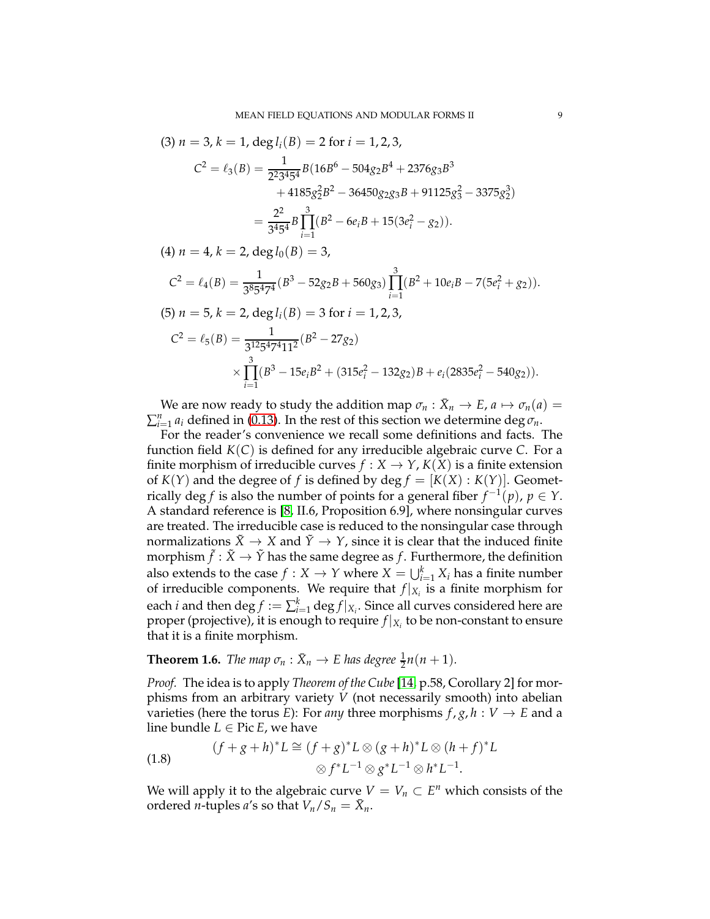(3) 
$$
n = 3
$$
,  $k = 1$ , deg  $l_i(B) = 2$  for  $i = 1, 2, 3$ ,  
\n
$$
C^2 = \ell_3(B) = \frac{1}{2^2 3^4 5^4} B(16B^6 - 504g_2B^4 + 2376g_3B^3 + 4185g_2^2B^2 - 36450g_2g_3B + 91125g_3^2 - 3375g_2^3)
$$
\n
$$
= \frac{2^2}{3^4 5^4} B \prod_{i=1}^3 (B^2 - 6e_iB + 15(3e_i^2 - g_2)).
$$

 $(4)$  *n* = 4, *k* = 2, deg  $l_0(B) = 3$ ,

$$
C^{2} = \ell_{4}(B) = \frac{1}{3^{8}5^{4}7^{4}} (B^{3} - 52g_{2}B + 560g_{3}) \prod_{i=1}^{3} (B^{2} + 10e_{i}B - 7(5e_{i}^{2} + g_{2})).
$$
  
(5)  $n = 5, k = 2, \text{deg } l_{i}(B) = 3 \text{ for } i = 1, 2, 3,$   

$$
C^{2} = \ell_{5}(B) = \frac{1}{3^{12}5^{4}7^{4}11^{2}} (B^{2} - 27g_{2})
$$

$$
\times \prod_{i=1}^{3} (B^{3} - 15e_{i}B^{2} + (315e_{i}^{2} - 132g_{2})B + e_{i}(2835e_{i}^{2} - 540g_{2})).
$$

We are now ready to study the addition map  $\sigma_n : \bar{X}_n \to E$ ,  $a \mapsto \sigma_n(a) =$  $\sum_{i=1}^{n} a_i$  defined in [\(0.13\)](#page-3-3). In the rest of this section we determine deg  $\sigma_n$ .

For the reader's convenience we recall some definitions and facts. The function field *K*(*C*) is defined for any irreducible algebraic curve *C*. For a finite morphism of irreducible curves  $f : X \to Y$ ,  $K(X)$  is a finite extension of  $K(Y)$  and the degree of f is defined by deg  $f = [K(X) : K(Y)]$ . Geometrically  $\deg f$  is also the number of points for a general fiber  $f^{-1}(p)$ ,  $p \in Y$ . A standard reference is [\[8,](#page-30-11) II.6, Proposition 6.9], where nonsingular curves are treated. The irreducible case is reduced to the nonsingular case through normalizations  $\tilde{X} \to X$  and  $\tilde{Y} \to Y$ , since it is clear that the induced finite morphism  $\tilde{f}:\tilde{X}\to \tilde{Y}$  has the same degree as  $f.$  Furthermore, the definition also extends to the case  $f: X \to Y$  where  $X = \bigcup_{i=1}^k X_i$  has a finite number of irreducible components. We require that  $f|_{X_i}$  is a finite morphism for each  $i$  and then  $\deg f := \sum_{i=1}^k \deg f|_{X_i}.$  Since all curves considered here are proper (projective), it is enough to require  $f|_{X_i}$  to be non-constant to ensure that it is a finite morphism.

<span id="page-8-0"></span>**Theorem 1.6.** *The map*  $\sigma_n : \bar{X}_n \to E$  has degree  $\frac{1}{2}n(n+1)$ *.* 

*Proof.* The idea is to apply *Theorem of the Cube*[\[14,](#page-30-12) p.58, Corollary 2] for morphisms from an arbitrary variety *V* (not necessarily smooth) into abelian varieties (here the torus *E*): For *any* three morphisms  $f$ ,  $g$ ,  $h : V \to E$  and a line bundle  $L \in$  Pic  $E$ , we have

<span id="page-8-1"></span>(1.8) 
$$
(f+g+h)^*L \cong (f+g)^*L \otimes (g+h)^*L \otimes (h+f)^*L \otimes f^*L^{-1} \otimes g^*L^{-1} \otimes h^*L^{-1}.
$$

We will apply it to the algebraic curve  $V = V_n \subset E^n$  which consists of the ordered *n*-tuples *a*'s so that  $V_n/S_n = \bar{X}_n$ .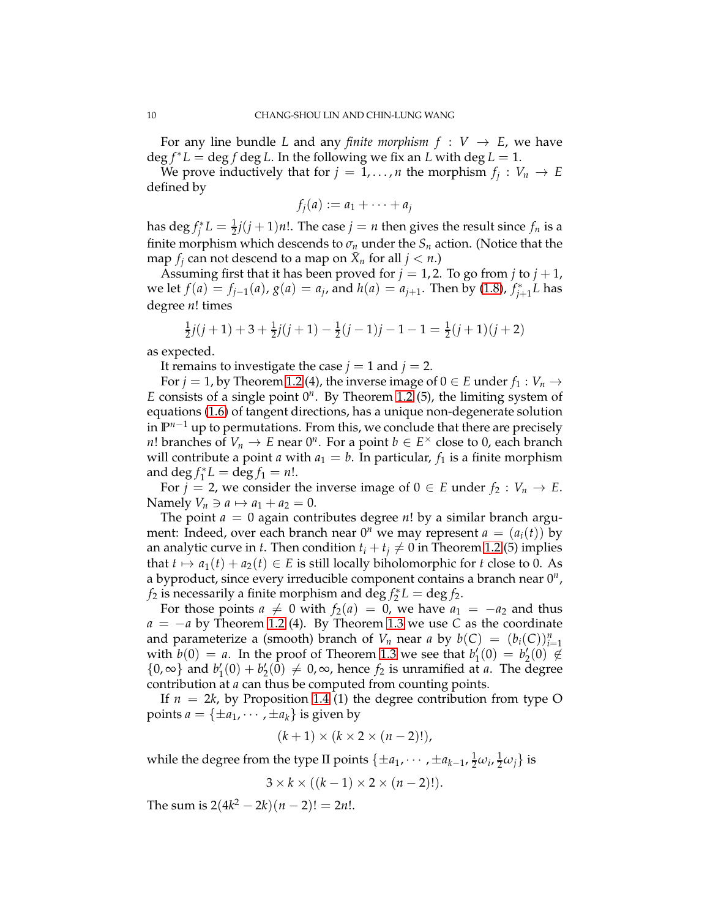For any line bundle *L* and any *finite morphism*  $f : V \rightarrow E$ , we have  $\deg f^*L = \deg f \deg L$ . In the following we fix an *L* with  $\deg L = 1$ .

We prove inductively that for  $j = 1, ..., n$  the morphism  $f_j : V_n \to E$ defined by

$$
f_j(a) := a_1 + \cdots + a_j
$$

has  $\deg f_j^*L = \frac{1}{2}j(j+1)n!$ . The case  $j = n$  then gives the result since  $f_n$  is a finite morphism which descends to  $\sigma_n$  under the  $S_n$  action. (Notice that the map  $f_j$  can not descend to a map on  $\bar{X}_n$  for all  $j < n$ .)

Assuming first that it has been proved for  $j = 1, 2$ . To go from  $j$  to  $j + 1$ , we let  $f(a) = f_{j-1}(a)$ ,  $g(a) = a_j$ , and  $h(a) = a_{j+1}$ . Then by [\(1.8\)](#page-8-1),  $f_{j+1}^*L$  has degree *n*! times

$$
\frac{1}{2}j(j+1) + 3 + \frac{1}{2}j(j+1) - \frac{1}{2}(j-1)j - 1 - 1 = \frac{1}{2}(j+1)(j+2)
$$

as expected.

It remains to investigate the case  $j = 1$  and  $j = 2$ .

For  $j = 1$ , by Theorem [1.2](#page-6-0) (4), the inverse image of  $0 \in E$  under  $f_1 : V_n \to V$ *E* consists of a single point 0*<sup>n</sup>* . By Theorem [1.2](#page-6-0) (5), the limiting system of equations [\(1.6\)](#page-6-2) of tangent directions, has a unique non-degenerate solution in **P** *<sup>n</sup>*−<sup>1</sup> up to permutations. From this, we conclude that there are precisely *n*! branches of  $V_n \to E$  near  $0^n$ . For a point  $b \in E^\times$  close to 0, each branch will contribute a point *a* with  $a_1 = b$ . In particular,  $f_1$  is a finite morphism and  $\deg f_1^* L = \deg f_1 = n!$ .

For *j* = 2, we consider the inverse image of  $0 \in E$  under  $f_2 : V_n \to E$ . Namely  $V_n \ni a \mapsto a_1 + a_2 = 0$ .

The point  $a = 0$  again contributes degree  $n!$  by a similar branch argument: Indeed, over each branch near  $0^n$  we may represent  $a = (a_i(t))$  by an analytic curve in *t*. Then condition  $t_i + t_j \neq 0$  in Theorem [1.2](#page-6-0) (5) implies that  $t \mapsto a_1(t) + a_2(t) \in E$  is still locally biholomorphic for *t* close to 0. As a byproduct, since every irreducible component contains a branch near 0*<sup>n</sup>* , *f*<sub>2</sub> is necessarily a finite morphism and deg  $f_2^*L = \deg f_2$ .

For those points  $a \neq 0$  with  $f_2(a) = 0$ , we have  $a_1 = -a_2$  and thus  $a = -a$  by Theorem [1.2](#page-6-0) (4). By Theorem [1.3](#page-6-1) we use *C* as the coordinate and parameterize a (smooth) branch of *V*<sup>*n*</sup> near *a* by  $b(C) = (b_i(C))_{i=1}^n$ with  $b(0) = a$ . In the proof of Theorem [1.3](#page-6-1) we see that  $b'_1(0) = b'_2(0) \notin$ {0, ∞} and  $b'_1(0) + b'_2(0) \neq 0$ ,  $\infty$ , hence  $f_2$  is unramified at *a*. The degree contribution at *a* can thus be computed from counting points.

If  $n = 2k$ , by Proposition [1.4](#page-7-0) (1) the degree contribution from type O points  $a = {\pm a_1, \cdots, \pm a_k}$  is given by

$$
(k+1) \times (k \times 2 \times (n-2)!),
$$

while the degree from the type II points  $\{\pm a_1, \dots, \pm a_{k-1}, \frac{1}{2}\omega_i, \frac{1}{2}\omega_j\}$  is

$$
3 \times k \times ((k-1) \times 2 \times (n-2)!).
$$

The sum is  $2(4k^2 - 2k)(n-2)! = 2n!$ .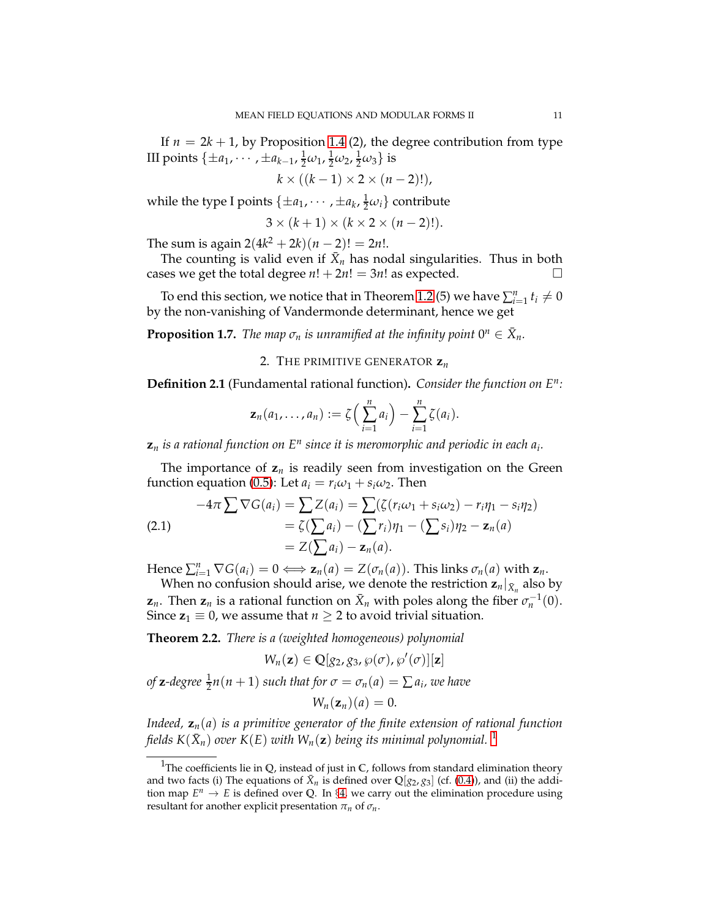If  $n = 2k + 1$ , by Proposition [1.4](#page-7-0) (2), the degree contribution from type III points  $\{\pm a_1, \cdots, \pm a_{k-1}, \frac{1}{2}\omega_1, \frac{1}{2}\omega_2, \frac{1}{2}\omega_3\}$  is

$$
k \times ((k-1) \times 2 \times (n-2)!),
$$

while the type I points  $\{\pm a_1, \cdots, \pm a_k, \frac{1}{2}\omega_i\}$  contribute

$$
3 \times (k+1) \times (k \times 2 \times (n-2)!).
$$

The sum is again  $2(4k^2 + 2k)(n - 2)! = 2n!$ .

The counting is valid even if  $\bar{X}_n$  has nodal singularities. Thus in both cases we get the total degree  $n! + 2n! = 3n!$  as expected.

To end this section, we notice that in Theorem [1.2](#page-6-0) (5) we have  $\sum_{i=1}^{n} t_i \neq 0$ by the non-vanishing of Vandermonde determinant, hence we get

<span id="page-10-0"></span>**Proposition 1.7.** *The map*  $\sigma_n$  *is unramified at the infinity point*  $0^n \in \overline{X}_n$ *.* 

2. THE PRIMITIVE GENERATOR **z***<sup>n</sup>*

**Definition 2.1** (Fundamental rational function)**.** *Consider the function on E<sup>n</sup> :*

$$
\mathbf{z}_n(a_1,\ldots,a_n):=\zeta\Big(\sum_{i=1}^n a_i\Big)-\sum_{i=1}^n \zeta(a_i).
$$

 $\mathbf{z}_n$  *is a rational function on*  $E^n$  *since it is meromorphic and periodic in each*  $a_i$ *.* 

The importance of  $z_n$  is readily seen from investigation on the Green function equation [\(0.5\)](#page-1-1): Let  $a_i = r_i \omega_1 + s_i \omega_2$ . Then

<span id="page-10-3"></span>
$$
-4\pi \sum \nabla G(a_i) = \sum Z(a_i) = \sum (\zeta (r_i \omega_1 + s_i \omega_2) - r_i \eta_1 - s_i \eta_2)
$$
  
=  $\zeta(\sum a_i) - (\sum r_i) \eta_1 - (\sum s_i) \eta_2 - \mathbf{z}_n(a)$   
=  $Z(\sum a_i) - \mathbf{z}_n(a)$ .

Hence  $\sum_{i=1}^{n} \nabla G(a_i) = 0 \Longleftrightarrow \mathbf{z}_n(a) = Z(\sigma_n(a))$ . This links  $\sigma_n(a)$  with  $\mathbf{z}_n$ .

When no confusion should arise, we denote the restriction  $\mathbf{z}_n|_{\bar{X}_n}$  also by **z**<sub>*n*</sub>. Then **z**<sub>*n*</sub> is a rational function on  $\bar{X}_n$  with poles along the fiber  $\sigma_n^{-1}(0)$ . Since  $z_1 \equiv 0$ , we assume that  $n \geq 2$  to avoid trivial situation.

<span id="page-10-1"></span>**Theorem 2.2.** *There is a (weighted homogeneous) polynomial*

$$
W_n(\mathbf{z}) \in \mathbb{Q}[g_2, g_3, \wp(\sigma), \wp'(\sigma)][\mathbf{z}]
$$

*of* **z**-degree  $\frac{1}{2}n(n+1)$  *such that for*  $\sigma = \sigma_n(a) = \sum a_i$ *, we have* 

$$
W_n(\mathbf{z}_n)(a)=0.
$$

*Indeed,* **z***n*(*a*) *is a primitive generator of the finite extension of rational function* fields  $K(\bar{X}_n)$  over  $K(E)$  with  $W_n({\bf z})$  being its minimal polynomial.  $^1$  $^1$ 

<span id="page-10-2"></span><sup>&</sup>lt;sup>1</sup>The coefficients lie in  $Q$ , instead of just in  $C$ , follows from standard elimination theory and two facts (i) The equations of  $\bar{X}_n$  is defined over  $\mathbb{Q}[g_2, g_3]$  (cf. [\(0.4\)](#page-1-0)), and (ii) the addition map  $E^n \to E$  is defined over Q. In §[4,](#page-21-0) we carry out the elimination procedure using resultant for another explicit presentation  $\pi_n$  of  $\sigma_n$ .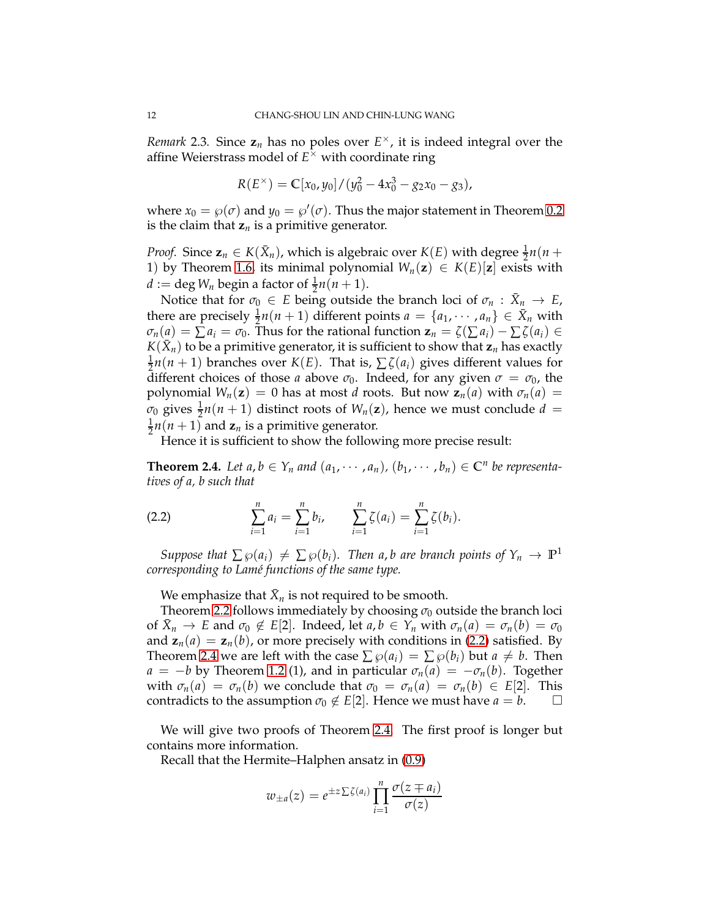*Remark* 2.3. Since  $z_n$  has no poles over  $E^{\times}$ , it is indeed integral over the affine Weierstrass model of  $E^{\tilde{\times}}$  with coordinate ring

$$
R(E^{\times}) = \mathbb{C}[x_0, y_0]/(y_0^2 - 4x_0^3 - g_2x_0 - g_3),
$$

where  $x_0 = \wp(\sigma)$  and  $y_0 = \wp'(\sigma)$ . Thus the major statement in Theorem [0.2](#page-3-4) is the claim that  $z_n$  is a primitive generator.

*Proof.* Since  $\mathbf{z}_n \in K(\bar{X}_n)$ , which is algebraic over  $K(E)$  with degree  $\frac{1}{2}n(n+1)$ 1) by Theorem [1.6,](#page-8-0) its minimal polynomial  $W_n(z) \in K(E)[z]$  exists with  $d := \deg W_n$  begin a factor of  $\frac{1}{2}n(n+1)$ .

Notice that for  $\sigma_0 \in E$  being outside the branch loci of  $\sigma_n : \bar{X}_n \to E$ , there are precisely  $\frac{1}{2}n(n+1)$  different points  $a = \{a_1, \dots, a_n\} \in \bar{X}_n$  with  $\sigma_n(a) = \sum a_i = \sigma_0$ . Thus for the rational function  $z_n = \zeta(\sum a_i) - \sum \zeta(a_i) \in$  $K(\bar{X}_n)$  to be a primitive generator, it is sufficient to show that  $\mathbf{z}_n$  has exactly 1  $\frac{1}{2}n(n+1)$  branches over *K*(*E*). That is,  $\sum \zeta(a_i)$  gives different values for different choices of those *a* above  $\sigma_0$ . Indeed, for any given  $\sigma = \sigma_0$ , the polynomial  $W_n(z) = 0$  has at most *d* roots. But now  $z_n(a)$  with  $\sigma_n(a) =$  $\sigma_0$  gives  $\frac{1}{2}n(n+1)$  distinct roots of  $W_n(\mathbf{z})$ , hence we must conclude  $d =$ 1  $\frac{1}{2}n(n+1)$  and  $z_n$  is a primitive generator.

Hence it is sufficient to show the following more precise result:

<span id="page-11-1"></span>**Theorem 2.4.** Let  $a, b \in Y_n$  and  $(a_1, \dots, a_n)$ ,  $(b_1, \dots, b_n) \in \mathbb{C}^n$  be representa*tives of a, b such that*

<span id="page-11-0"></span>(2.2) 
$$
\sum_{i=1}^{n} a_i = \sum_{i=1}^{n} b_i, \qquad \sum_{i=1}^{n} \zeta(a_i) = \sum_{i=1}^{n} \zeta(b_i).
$$

*Suppose that*  $\sum \wp(a_i) \neq \sum \wp(b_i)$ *. Then a, b are branch points of*  $Y_n \to \mathbb{P}^1$ *corresponding to Lam´e functions of the same type.*

We emphasize that  $\bar{X}_n$  is not required to be smooth.

Theorem [2.2](#page-10-1) follows immediately by choosing  $\sigma_0$  outside the branch loci of  $\bar{X}_n \to E$  and  $\sigma_0 \notin E[2]$ . Indeed, let  $a, b \in Y_n$  with  $\sigma_n(a) = \sigma_n(b) = \sigma_0$ and  $z_n(a) = z_n(b)$ , or more precisely with conditions in [\(2.2\)](#page-11-0) satisfied. By Theorem [2.4](#page-11-1) we are left with the case  $\sum \varphi(a_i) = \sum \varphi(b_i)$  but  $a \neq b$ . Then  $a = -b$  by Theorem [1.2](#page-6-0) (1), and in particular  $\sigma_n(a) = -\sigma_n(b)$ . Together with  $\sigma_n(a) = \sigma_n(b)$  we conclude that  $\sigma_0 = \sigma_n(a) = \sigma_n(b) \in E[2]$ . This contradicts to the assumption  $\sigma_0 \notin E[2]$ . Hence we must have  $a = b$ .

We will give two proofs of Theorem [2.4.](#page-11-1) The first proof is longer but contains more information.

Recall that the Hermite–Halphen ansatz in [\(0.9\)](#page-2-2)

$$
w_{\pm a}(z) = e^{\pm z \sum \zeta(a_i)} \prod_{i=1}^n \frac{\sigma(z \mp a_i)}{\sigma(z)}
$$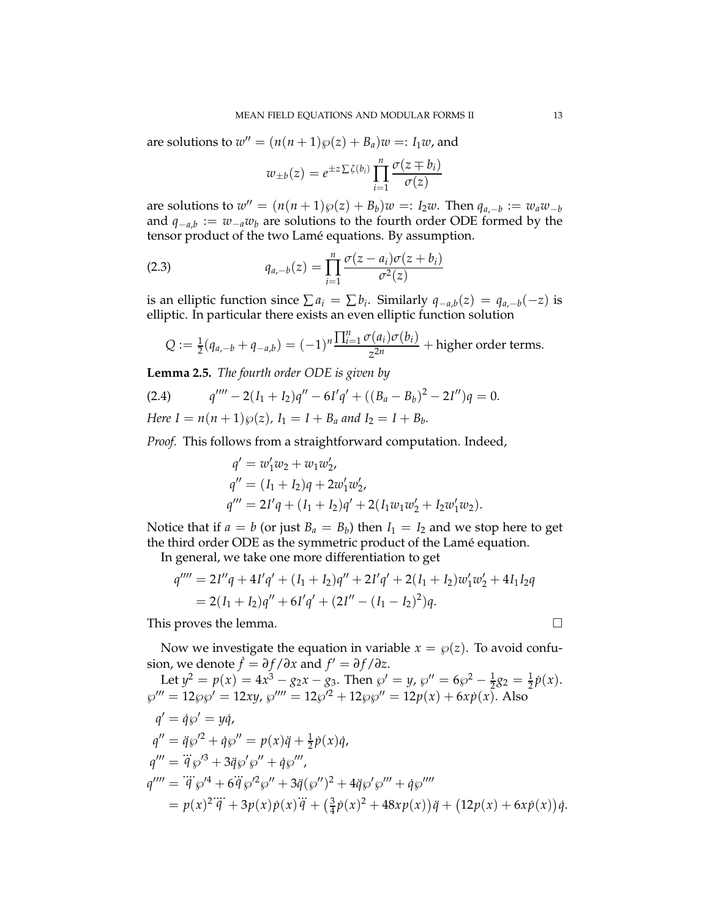are solutions to  $w'' = (n(n+1)\wp(z) + B_a)w =: I_1w$ , and

<span id="page-12-1"></span>
$$
w_{\pm b}(z) = e^{\pm z \sum \zeta(b_i)} \prod_{i=1}^n \frac{\sigma(z \mp b_i)}{\sigma(z)}
$$

are solutions to  $w'' = (n(n+1)\wp(z) + B_b)w =: I_2w$ . Then  $q_{a,-b} := w_a w_{-b}$ and *q*−*a*,*<sup>b</sup>* := *w*−*aw<sup>b</sup>* are solutions to the fourth order ODE formed by the tensor product of the two Lamé equations. By assumption.

(2.3) 
$$
q_{a,-b}(z) = \prod_{i=1}^{n} \frac{\sigma(z-a_i)\sigma(z+b_i)}{\sigma^2(z)}
$$

is an elliptic function since  $\sum a_i = \sum b_i$ . Similarly  $q_{-a,b}(z) = q_{a,-b}(-z)$  is elliptic. In particular there exists an even elliptic function solution

$$
Q := \frac{1}{2}(q_{a,-b} + q_{-a,b}) = (-1)^n \frac{\prod_{i=1}^n \sigma(a_i)\sigma(b_i)}{z^{2n}} + \text{higher order terms}.
$$

<span id="page-12-2"></span>**Lemma 2.5.** *The fourth order ODE is given by*

<span id="page-12-0"></span>(2.4) 
$$
q'''' - 2(I_1 + I_2)q'' - 6I'q' + ((B_a - B_b)^2 - 2I'')q = 0.
$$
  
Here  $I = n(n+1)\wp(z)$ ,  $I_1 = I + B_a$  and  $I_2 = I + B_b$ .

*Proof.* This follows from a straightforward computation. Indeed,

$$
q' = w'_1 w_2 + w_1 w'_2,
$$
  
\n
$$
q'' = (I_1 + I_2)q + 2w'_1 w'_2,
$$
  
\n
$$
q''' = 2I'q + (I_1 + I_2)q' + 2(I_1 w_1 w'_2 + I_2 w'_1 w_2).
$$

Notice that if  $a = b$  (or just  $B_a = B_b$ ) then  $I_1 = I_2$  and we stop here to get the third order ODE as the symmetric product of the Lamé equation.

In general, we take one more differentiation to get

$$
q'''' = 2I''q + 4I'q' + (I_1 + I_2)q'' + 2I'q' + 2(I_1 + I_2)w'_1w'_2 + 4I_1I_2q
$$
  
= 2(I\_1 + I\_2)q'' + 6I'q' + (2I'' - (I\_1 - I\_2)^2)q.

This proves the lemma.

Now we investigate the equation in variable  $x = \wp(z)$ . To avoid confusion, we denote  $\dot{f} = \partial f / \partial x$  and  $f' = \partial f / \partial z$ .

Let 
$$
y^2 = p(x) = 4x^3 - g_2x - g_3
$$
. Then  $\wp' = y$ ,  $\wp'' = 6\wp^2 - \frac{1}{2}g_2 = \frac{1}{2}\dot{p}(x)$ .  
\n $\wp''' = 12\wp\wp' = 12xy$ ,  $\wp'''' = 12\wp'^2 + 12\wp\wp'' = 12p(x) + 6x\dot{p}(x)$ . Also  
\n $q' = \dot{q}\wp' = y\dot{q}$ ,  
\n $q'' = \ddot{q}\wp'^2 + \dot{q}\wp'' = p(x)\ddot{q} + \frac{1}{2}\dot{p}(x)\dot{q}$ ,  
\n $q''' = \dddot{q}\wp'^3 + 3\ddot{q}\wp'\wp'' + \dot{q}\wp'''$ ,  
\n $q'''' = \dddot{q}\wp'^4 + 6\dddot{q}\wp'^2\wp'' + 3\ddot{q}(\wp'')^2 + 4\ddot{q}\wp'\wp''' + \dot{q}\wp''''$   
\n $= p(x)^2\dddot{q} + 3p(x)\dot{p}(x)\ddot{q} + (\frac{3}{4}\dot{p}(x)^2 + 48xp(x))\ddot{q} + (12p(x) + 6x\dot{p}(x))\dot{q}$ .

$$
\Box
$$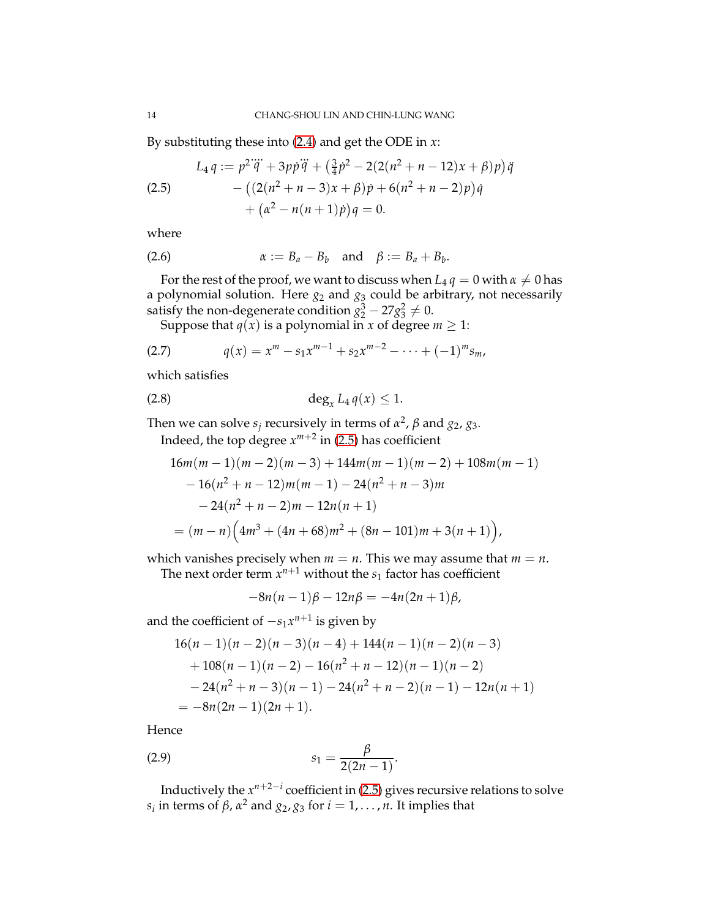By substituting these into [\(2.4\)](#page-12-0) and get the ODE in *x*:

<span id="page-13-0"></span>(2.5)  
\n
$$
L_4 q := p^2 \dddot{q} + 3 p \ddot{p} \dddot{q} + \left(\frac{3}{4} p^2 - 2(2(n^2 + n - 12)x + \beta)p\right) \ddot{q} - \left((2(n^2 + n - 3)x + \beta)p + 6(n^2 + n - 2)p\right) \dot{q} + \left(\alpha^2 - n(n + 1)p\right) q = 0.
$$

where

$$
\alpha := B_a - B_b \quad \text{and} \quad \beta := B_a + B_b.
$$

For the rest of the proof, we want to discuss when  $L_4 q = 0$  with  $\alpha \neq 0$  has a polynomial solution. Here  $g_2$  and  $g_3$  could be arbitrary, not necessarily satisfy the non-degenerate condition  $g_2^3 - 27g_3^2 \neq 0$ .

Suppose that *q*( $\bar{x}$ ) is a polynomial in *x* of degree *m*  $\geq$  1:

$$
(2.7) \t q(x) = xm - s1xm-1 + s2xm-2 - \dots + (-1)m sm,
$$

which satisfies

$$
\deg_x L_4 q(x) \leq 1.
$$

Then we can solve  $s_j$  recursively in terms of  $\alpha^2$ ,  $\beta$  and  $g_2$ ,  $g_3$ .

<span id="page-13-1"></span>Indeed, the top degree  $x^{m+2}$  in [\(2.5\)](#page-13-0) has coefficient

$$
16m(m-1)(m-2)(m-3) + 144m(m-1)(m-2) + 108m(m-1)
$$
  
- 16(n<sup>2</sup> + n - 12)m(m-1) - 24(n<sup>2</sup> + n - 3)m  
- 24(n<sup>2</sup> + n - 2)m - 12n(n + 1)  
= (m - n) (4m<sup>3</sup> + (4n + 68)m<sup>2</sup> + (8n - 101)m + 3(n + 1)),

which vanishes precisely when  $m = n$ . This we may assume that  $m = n$ .

The next order term  $x^{n+1}$  without the  $s_1$  factor has coefficient

$$
-8n(n-1)\beta - 12n\beta = -4n(2n+1)\beta,
$$

and the coefficient of −*s*1*x n*+1 is given by

$$
16(n-1)(n-2)(n-3)(n-4) + 144(n-1)(n-2)(n-3)
$$
  
+ 108(n-1)(n-2) - 16(n<sup>2</sup> + n - 12)(n-1)(n-2)  
- 24(n<sup>2</sup> + n - 3)(n-1) - 24(n<sup>2</sup> + n - 2)(n-1) - 12n(n+1)  
= -8n(2n-1)(2n+1).

Hence

(2.9) 
$$
s_1 = \frac{\beta}{2(2n-1)}.
$$

Inductively the  $x^{n+2-i}$  coefficient in [\(2.5\)](#page-13-0) gives recursive relations to solve *s*<sub>*i*</sub> in terms of *β*, *α*<sup>2</sup> and *g*<sub>2</sub>, *g*<sub>3</sub> for *i* = 1, . . . , *n*. It implies that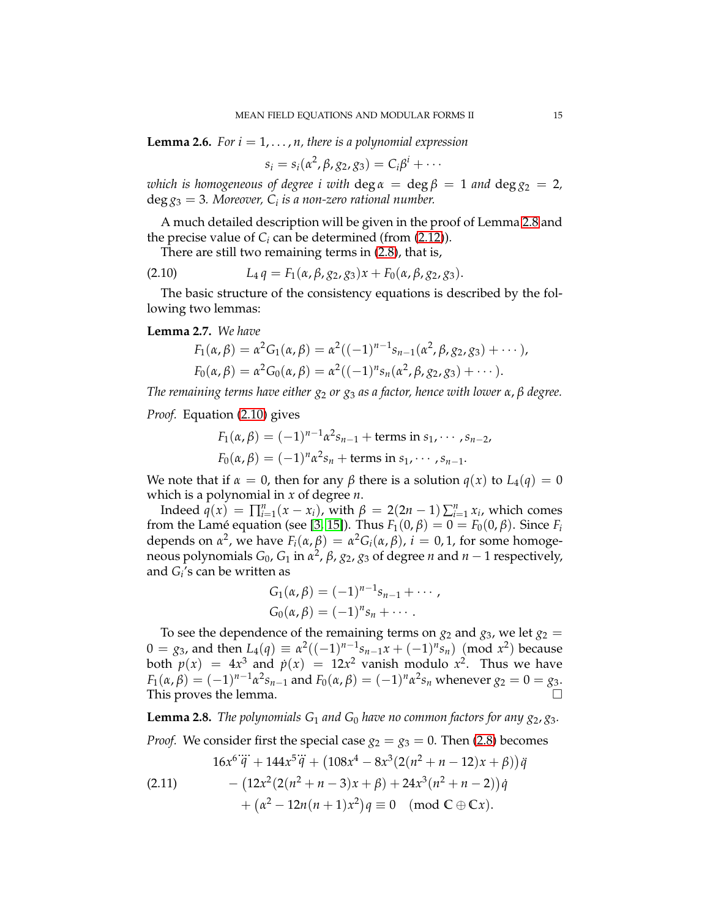<span id="page-14-3"></span>**Lemma 2.6.** *For*  $i = 1, \ldots, n$ *, there is a polynomial expression* 

$$
s_i = s_i(\alpha^2, \beta, g_2, g_3) = C_i\beta^i + \cdots
$$

*which is homogeneous of degree i with*  $\deg \alpha = \deg \beta = 1$  *and*  $\deg g_2 = 2$ *,* deg *g*<sup>3</sup> = 3*. Moreover, C<sup>i</sup> is a non-zero rational number.*

A much detailed description will be given in the proof of Lemma [2.8](#page-14-0) and the precise value of  $C_i$  can be determined (from  $(2.12)$ ).

<span id="page-14-1"></span>There are still two remaining terms in [\(2.8\)](#page-13-1), that is,

(2.10) 
$$
L_4 q = F_1(\alpha, \beta, g_2, g_3) x + F_0(\alpha, \beta, g_2, g_3).
$$

The basic structure of the consistency equations is described by the following two lemmas:

<span id="page-14-2"></span>**Lemma 2.7.** *We have*

$$
F_1(\alpha, \beta) = \alpha^2 G_1(\alpha, \beta) = \alpha^2 ((-1)^{n-1} s_{n-1}(\alpha^2, \beta, g_2, g_3) + \cdots),
$$
  
\n
$$
F_0(\alpha, \beta) = \alpha^2 G_0(\alpha, \beta) = \alpha^2 ((-1)^n s_n(\alpha^2, \beta, g_2, g_3) + \cdots).
$$

*The remaining terms have either g*<sup>2</sup> *or g*<sup>3</sup> *as a factor, hence with lower α*, *β degree.*

*Proof.* Equation [\(2.10\)](#page-14-1) gives

$$
F_1(\alpha, \beta) = (-1)^{n-1} \alpha^2 s_{n-1} + \text{terms in } s_1, \cdots, s_{n-2},
$$
  

$$
F_0(\alpha, \beta) = (-1)^n \alpha^2 s_n + \text{terms in } s_1, \cdots, s_{n-1}.
$$

We note that if  $\alpha = 0$ , then for any  $\beta$  there is a solution  $q(x)$  to  $L_4(q) = 0$ which is a polynomial in *x* of degree *n*.

Indeed  $\hat{q}(x) = \prod_{i=1}^{n} (x - x_i)$ , with  $\beta = 2(2n - 1) \sum_{i=1}^{n} x_i$ , which comes from the Lamé equation (see [\[3,](#page-30-0) [15\]](#page-30-3)). Thus  $F_1(0, \beta) = 0 = F_0(0, \beta)$ . Since  $F_i$ depends on  $\alpha^2$ , we have  $F_i(\alpha, \beta) = \alpha^2 G_i(\alpha, \beta)$ ,  $i = 0, 1$ , for some homogeneous polynomials *G*0, *G*<sup>1</sup> in *α* 2 , *β*, *g*2, *g*<sup>3</sup> of degree *n* and *n* − 1 respectively, and *G<sup>i</sup>* 's can be written as

$$
G_1(\alpha, \beta) = (-1)^{n-1} s_{n-1} + \cdots ,
$$
  
\n
$$
G_0(\alpha, \beta) = (-1)^n s_n + \cdots .
$$

To see the dependence of the remaining terms on  $g_2$  and  $g_3$ , we let  $g_2$  =  $0 = g_3$ , and then  $L_4(q) \equiv \alpha^2((-1)^{n-1}s_{n-1}x + (-1)^n s_n) \pmod{x^2}$  because both  $p(x) = 4x^3$  and  $p(x) = 12x^2$  vanish modulo  $x^2$ . Thus we have  $F_1(\alpha, \beta) = (-1)^{n-1} \alpha^2 s_{n-1}$  and  $F_0(\alpha, \beta) = (-1)^n \alpha^2 s_n$  whenever  $g_2 = 0 = g_3$ . This proves the lemma.

<span id="page-14-0"></span>**Lemma 2.8.** *The polynomials*  $G_1$  *and*  $G_0$  *have no common factors for any*  $g_2$ *,*  $g_3$ *.* 

*Proof.* We consider first the special case  $g_2 = g_3 = 0$ . Then [\(2.8\)](#page-13-1) becomes

$$
16x^{6}\dddot{q} + 144x^{5}\dddot{q} + (108x^{4} - 8x^{3}(2(n^{2} + n - 12)x + \beta))\ddot{q}
$$
  
(2.11)  

$$
- (12x^{2}(2(n^{2} + n - 3)x + \beta) + 24x^{3}(n^{2} + n - 2))\dot{q}
$$

$$
+ (\alpha^{2} - 12n(n + 1)x^{2})q \equiv 0 \pmod{C \oplus Cx}.
$$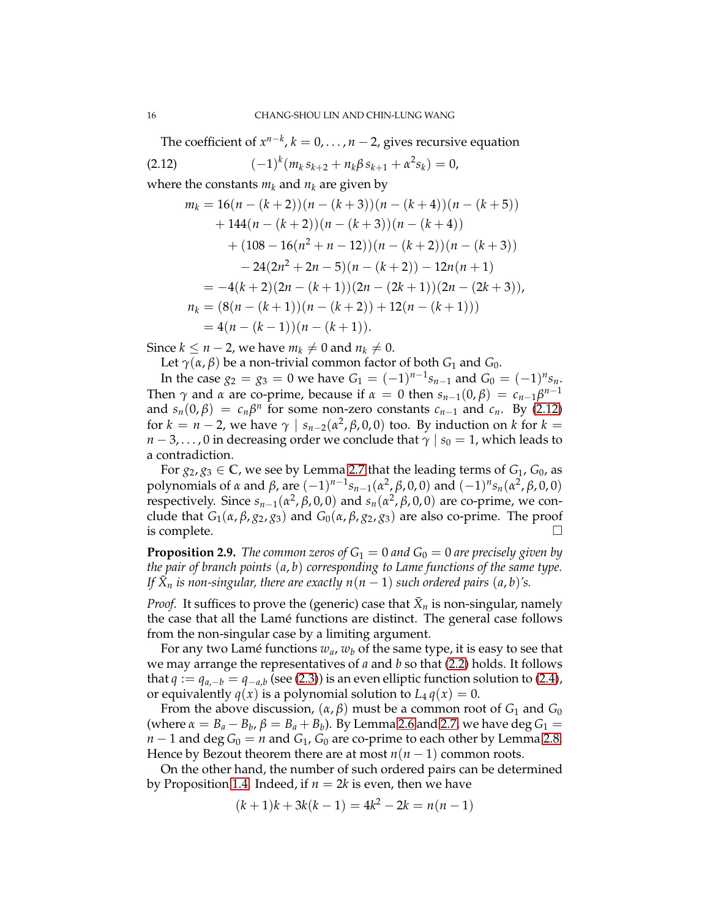The coefficient of  $x^{n-k}$ ,  $k = 0, \ldots, n-2$ , gives recursive equation

$$
(2.12) \qquad \qquad (-1)^k (m_k s_{k+2} + n_k \beta s_{k+1} + \alpha^2 s_k) = 0,
$$

where the constants  $m_k$  and  $n_k$  are given by

<span id="page-15-0"></span>
$$
m_k = 16(n - (k + 2))(n - (k + 3))(n - (k + 4))(n - (k + 5))
$$
  
+ 144(n - (k + 2))(n - (k + 3))(n - (k + 4))  
+ (108 - 16(n<sup>2</sup> + n - 12))(n - (k + 2))(n - (k + 3))  
- 24(2n<sup>2</sup> + 2n - 5)(n - (k + 2)) - 12n(n + 1)  
= -4(k+2)(2n - (k + 1))(2n - (2k + 1))(2n - (2k + 3)),  

$$
n_k = (8(n - (k + 1))(n - (k + 2)) + 12(n - (k + 1)))
$$
  
= 4(n - (k - 1))(n - (k + 1)).

Since *k* ≤ *n* − 2, we have  $m_k \neq 0$  and  $n_k \neq 0$ .

Let  $γ(α, β)$  be a non-trivial common factor of both  $G_1$  and  $G_0$ .

In the case  $g_2 = g_3 = 0$  we have  $G_1 = (-1)^{n-1} s_{n-1}$  and  $G_0 = (-1)^n s_n$ . Then  $\gamma$  and  $\alpha$  are co-prime, because if  $\alpha = 0$  then  $s_{n-1}(0, \beta) = c_{n-1}\beta^{n-1}$ and  $s_n(0, \beta) = c_n \beta^n$  for some non-zero constants  $c_{n-1}$  and  $c_n$ . By [\(2.12\)](#page-15-0) for  $k = n - 2$ , we have  $\gamma \mid s_{n-2}(\alpha^2, \beta, 0, 0)$  too. By induction on  $k$  for  $k =$  $n-3, \ldots, 0$  in decreasing order we conclude that  $\gamma \mid s_0 = 1$ , which leads to a contradiction.

For  $g_2, g_3 \in \mathbb{C}$ , we see by Lemma [2.7](#page-14-2) that the leading terms of  $G_1$ ,  $G_0$ , as polynomials of *α* and *β*, are  $(-1)^{n-1}$ s<sub>*n*−1</sub>(*α*<sup>2</sup>, β, 0, 0) and  $(-1)^n$ s<sub>*n*</sub>(*α*<sup>2</sup>, β, 0, 0) respectively. Since  $s_{n-1}(\alpha^2, \beta, 0, 0)$  and  $s_n(\alpha^2, \beta, 0, 0)$  are co-prime, we conclude that  $G_1(\alpha, \beta, g_2, g_3)$  and  $G_0(\alpha, \beta, g_2, g_3)$  are also co-prime. The proof is complete.  $\Box$ 

<span id="page-15-1"></span>**Proposition 2.9.** *The common zeros of*  $G_1 = 0$  *and*  $G_0 = 0$  *are precisely given by the pair of branch points* (*a*, *b*) *corresponding to Lame functions of the same type. If*  $\bar{X}_n$  *is non-singular, there are exactly n*( $n-1$ ) *such ordered pairs* (*a, b*)'s.

*Proof.* It suffices to prove the (generic) case that  $\bar{X}_n$  is non-singular, namely the case that all the Lamé functions are distinct. The general case follows from the non-singular case by a limiting argument.

For any two Lamé functions  $w_a$ ,  $w_b$  of the same type, it is easy to see that we may arrange the representatives of *a* and *b* so that [\(2.2\)](#page-11-0) holds. It follows that  $q := q_{a,-b} = q_{-a,b}$  (see [\(2.3\)](#page-12-1)) is an even elliptic function solution to [\(2.4\)](#page-12-0), or equivalently  $q(x)$  is a polynomial solution to  $L_4 q(x) = 0$ .

From the above discussion,  $(\alpha, \beta)$  must be a common root of  $G_1$  and  $G_0$ (where  $\alpha = B_a - B_b$ ,  $\beta = B_a + B_b$ ). By Lemma [2.6](#page-14-3) and [2.7,](#page-14-2) we have deg  $G_1 =$  $n-1$  and deg  $G_0 = n$  and  $G_1$ ,  $G_0$  are co-prime to each other by Lemma [2.8.](#page-14-0) Hence by Bezout theorem there are at most  $n(n-1)$  common roots.

On the other hand, the number of such ordered pairs can be determined by Proposition [1.4.](#page-7-0) Indeed, if  $n = 2k$  is even, then we have

$$
(k+1)k + 3k(k-1) = 4k^2 - 2k = n(n-1)
$$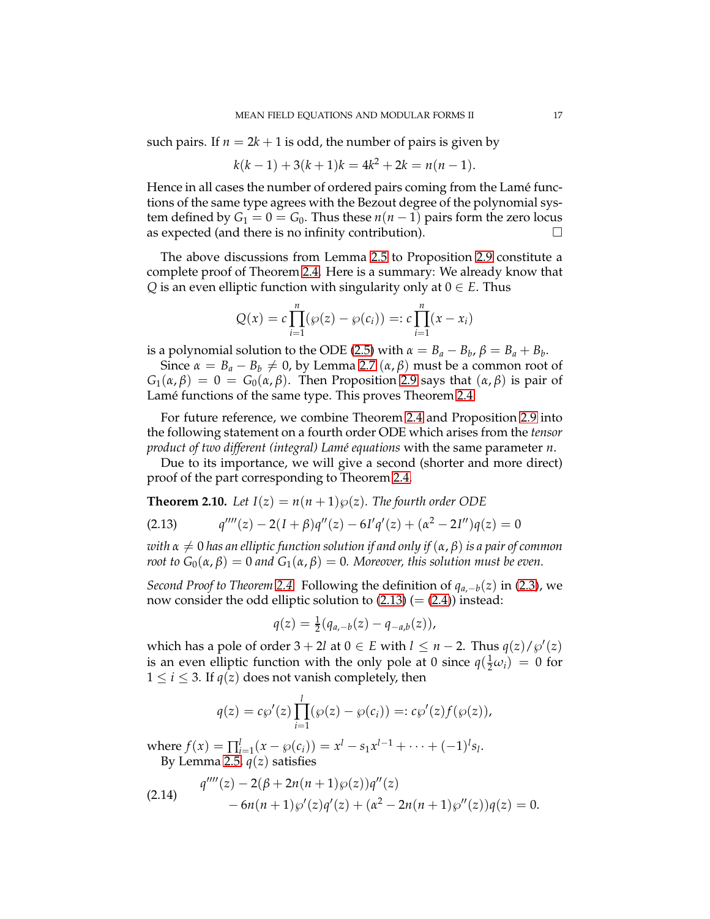such pairs. If  $n = 2k + 1$  is odd, the number of pairs is given by

$$
k(k-1) + 3(k+1)k = 4k^2 + 2k = n(n-1).
$$

Hence in all cases the number of ordered pairs coming from the Lamé functions of the same type agrees with the Bezout degree of the polynomial system defined by  $G_1 = 0 = G_0$ . Thus these  $n(n-1)$  pairs form the zero locus as expected (and there is no infinity contribution).

The above discussions from Lemma [2.5](#page-12-2) to Proposition [2.9](#page-15-1) constitute a complete proof of Theorem [2.4.](#page-11-1) Here is a summary: We already know that *Q* is an even elliptic function with singularity only at  $0 \in E$ . Thus

$$
Q(x) = c \prod_{i=1}^{n} (\wp(z) - \wp(c_i)) =: c \prod_{i=1}^{n} (x - x_i)
$$

is a polynomial solution to the ODE [\(2.5\)](#page-13-0) with  $\alpha = B_a - B_b$ ,  $\beta = B_a + B_b$ .

Since  $α = B<sub>a</sub> - B<sub>b</sub> \neq 0$ , by Lemma [2.7](#page-14-2) ( $α$ ,  $β$ ) must be a common root of *G*<sub>1</sub>( $\alpha$ , $\beta$ ) = 0 = *G*<sub>0</sub>( $\alpha$ , $\beta$ ). Then Proposition [2.9](#page-15-1) says that ( $\alpha$ , $\beta$ ) is pair of Lamé functions of the same type. This proves Theorem [2.4.](#page-11-1)

For future reference, we combine Theorem [2.4](#page-11-1) and Proposition [2.9](#page-15-1) into the following statement on a fourth order ODE which arises from the *tensor product of two different (integral) Lam´e equations* with the same parameter *n*.

Due to its importance, we will give a second (shorter and more direct) proof of the part corresponding to Theorem [2.4.](#page-11-1)

**Theorem 2.10.** Let  $I(z) = n(n+1)\wp(z)$ . The fourth order ODE

<span id="page-16-0"></span>(2.13) 
$$
q'''(z) - 2(I + \beta)q''(z) - 6I'q'(z) + (\alpha^2 - 2I'')q(z) = 0
$$

*with*  $\alpha \neq 0$  *has an elliptic function solution if and only if* ( $\alpha$ ,  $\beta$ ) *is a pair of common root to*  $G_0(\alpha, \beta) = 0$  *and*  $G_1(\alpha, \beta) = 0$ *. Moreover, this solution must be even.* 

*Second Proof to Theorem [2.4.](#page-11-1)* Following the definition of *qa*,−*b*(*z*) in [\(2.3\)](#page-12-1), we now consider the odd elliptic solution to  $(2.13) (= (2.4))$  $(2.13) (= (2.4))$  $(2.13) (= (2.4))$  instead:

$$
q(z) = \frac{1}{2}(q_{a,-b}(z) - q_{-a,b}(z)),
$$

which has a pole of order  $3 + 2l$  at  $0 \in E$  with  $l \leq n - 2$ . Thus  $q(z)/\wp'(z)$ is an even elliptic function with the only pole at 0 since  $q(\frac{1}{2}\omega_i) = 0$  for  $1 \le i \le 3$ . If  $q(z)$  does not vanish completely, then

$$
q(z) = c\wp'(z) \prod_{i=1}^{l} (\wp(z) - \wp(c_i)) =: c\wp'(z) f(\wp(z)),
$$

where  $f(x) = \prod_{i=1}^{l} (x - \wp(c_i)) = x^l - s_1 x^{l-1} + \cdots + (-1)^l s_l$ . By Lemma [2.5,](#page-12-2)  $q(z)$  satisfies

<span id="page-16-1"></span>(2.14) 
$$
q''''(z) - 2(\beta + 2n(n+1)\wp(z))q''(z) - 6n(n+1)\wp'(z)q'(z) + (\alpha^2 - 2n(n+1)\wp''(z))q(z) = 0.
$$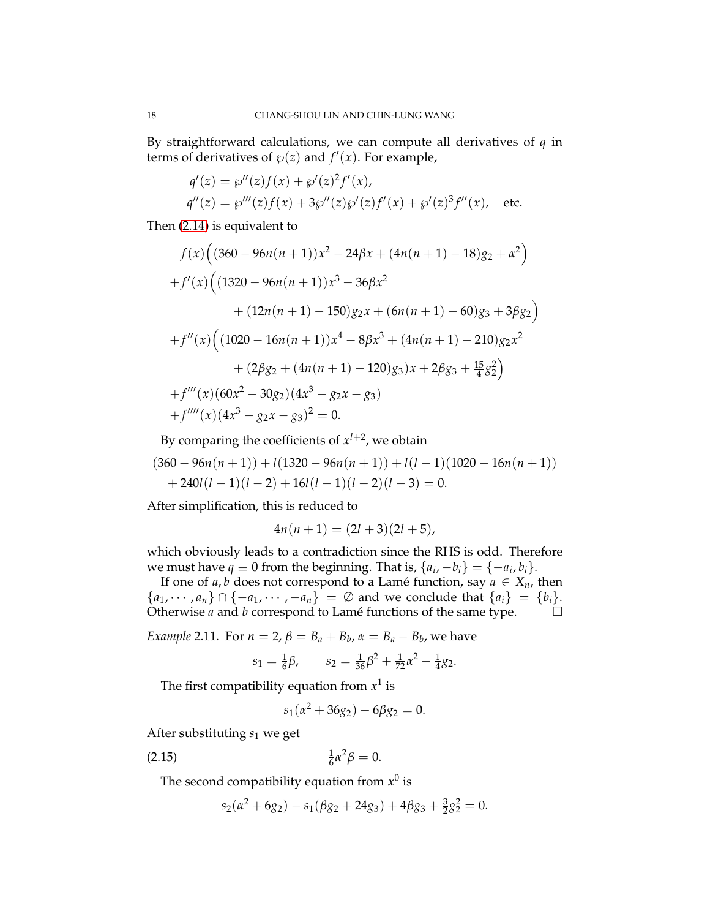By straightforward calculations, we can compute all derivatives of *q* in terms of derivatives of  $\wp(z)$  and  $f'(x)$ . For example,

$$
q'(z) = \wp''(z)f(x) + \wp'(z)^2 f'(x),
$$
  
\n
$$
q''(z) = \wp'''(z)f(x) + 3\wp''(z)\wp'(z)f'(x) + \wp'(z)^3 f''(x),
$$
 etc.

Then [\(2.14\)](#page-16-1) is equivalent to

$$
f(x) \Big( (360 - 96n(n+1))x^2 - 24\beta x + (4n(n+1) - 18)g_2 + \alpha^2 \Big)
$$
  
+ 
$$
f'(x) \Big( (1320 - 96n(n+1))x^3 - 36\beta x^2
$$
  
+ 
$$
(12n(n+1) - 150)g_2x + (6n(n+1) - 60)g_3 + 3\beta g_2 \Big)
$$
  
+ 
$$
f''(x) \Big( (1020 - 16n(n+1))x^4 - 8\beta x^3 + (4n(n+1) - 210)g_2x^2
$$
  
+ 
$$
(2\beta g_2 + (4n(n+1) - 120)g_3)x + 2\beta g_3 + \frac{15}{4}g_2^2 \Big)
$$
  
+ 
$$
f'''(x) (60x^2 - 30g_2)(4x^3 - g_2x - g_3)
$$
  
+ 
$$
f''''(x) (4x^3 - g_2x - g_3)^2 = 0.
$$

By comparing the coefficients of  $x^{l+2}$ , we obtain

$$
(360-96n(n+1)) + l(1320-96n(n+1)) + l(l-1)(1020-16n(n+1))
$$
  
+ 240l(l-1)(l-2) + 16l(l-1)(l-2)(l-3) = 0.

After simplification, this is reduced to

$$
4n(n+1) = (2l+3)(2l+5),
$$

which obviously leads to a contradiction since the RHS is odd. Therefore we must have  $q \equiv 0$  from the beginning. That is,  $\{a_i, -b_i\} = \{-a_i, b_i\}$ .

If one of *a*, *b* does not correspond to a Lamé function, say  $a \in X_n$ , then { $a_1, \dots, a_n$ } ∩ {− $a_1, \dots, -a_n$ } = ∅ and we conclude that { $a_i$ } = { $b_i$ }.<br>Otherwise *a* and *b* correspond to Lamé functions of the same type. □ Otherwise *a* and *b* correspond to Lamé functions of the same type.

*Example* 2.11. For  $n = 2$ ,  $\beta = B_a + B_b$ ,  $\alpha = B_a - B_b$ , we have

$$
s_1 = \frac{1}{6}\beta
$$
,  $s_2 = \frac{1}{36}\beta^2 + \frac{1}{72}\alpha^2 - \frac{1}{4}g_2$ .

The first compatibility equation from  $x^1$  is

<span id="page-17-0"></span>
$$
s_1(\alpha^2 + 36g_2) - 6\beta g_2 = 0.
$$

After substituting *s*<sup>1</sup> we get

$$
\frac{1}{6}\alpha^2\beta = 0.
$$

The second compatibility equation from  $x^0$  is

$$
s_2(\alpha^2 + 6g_2) - s_1(\beta g_2 + 24g_3) + 4\beta g_3 + \frac{3}{2}g_2^2 = 0.
$$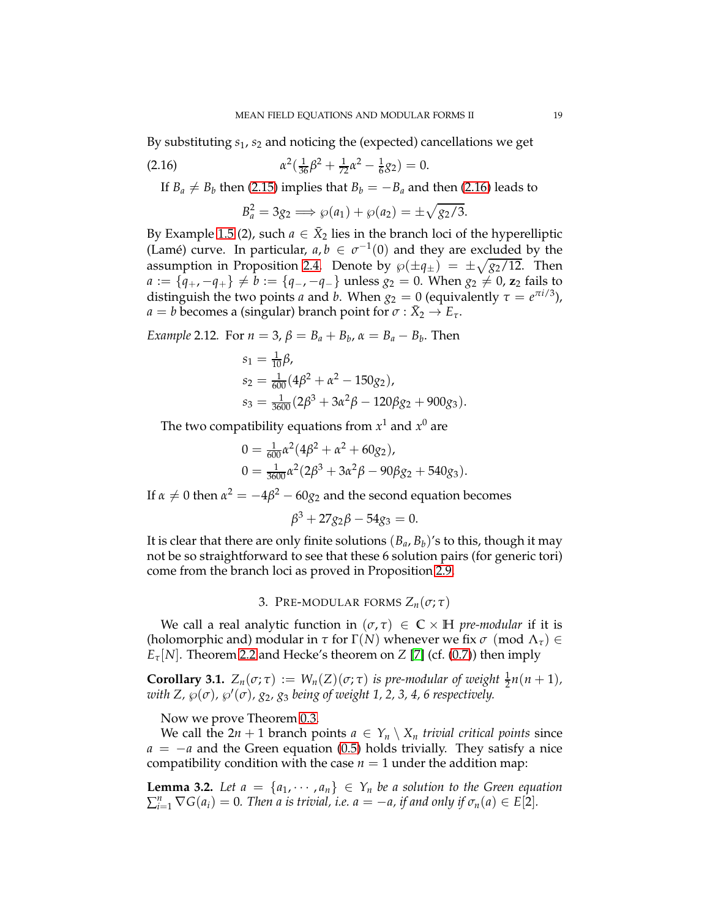By substituting *s*1, *s*<sup>2</sup> and noticing the (expected) cancellations we get

(2.16) 
$$
\alpha^2(\frac{1}{36}\beta^2 + \frac{1}{72}\alpha^2 - \frac{1}{6}g_2) = 0.
$$

If  $B_a \neq B_b$  then [\(2.15\)](#page-17-0) implies that  $B_b = -B_a$  and then [\(2.16\)](#page-18-2) leads to

<span id="page-18-2"></span>
$$
B_a^2 = 3g_2 \Longrightarrow \wp(a_1) + \wp(a_2) = \pm \sqrt{g_2/3}.
$$

By Example [1.5](#page-7-1) (2), such  $a \in \bar{X}_2$  lies in the branch loci of the hyperelliptic (Lamé) curve. In particular,  $a, b \in \sigma^{-1}(0)$  and they are excluded by the assumption in Proposition [2.4.](#page-11-1) Denote by  $\wp(\pm\mathfrak{q}_{\pm}) = \pm\sqrt{g_2/12}$ . Then *a* := { $q_+$ , − $q_+$ }  $\neq$  *b* := { $q_-$ , − $q_-$ } unless  $g_2 = 0$ . When  $g_2 \neq 0$ ,  $z_2$  fails to distinguish the two points *a* and *b*. When  $g_2 = 0$  (equivalently  $\tau = e^{\pi i/3}$ ),  $a = b$  becomes a (singular) branch point for  $\sigma : \bar{X}_2 \to E_\tau$ .

*Example* 2.12*.* For  $n = 3$ ,  $\beta = B_a + B_b$ ,  $\alpha = B_a - B_b$ . Then

$$
s_1 = \frac{1}{10}\beta,
$$
  
\n
$$
s_2 = \frac{1}{600}(4\beta^2 + \alpha^2 - 150g_2),
$$
  
\n
$$
s_3 = \frac{1}{3600}(2\beta^3 + 3\alpha^2\beta - 120\beta g_2 + 900g_3).
$$

The two compatibility equations from  $x^1$  and  $x^0$  are

$$
0 = \frac{1}{600} \alpha^2 (4\beta^2 + \alpha^2 + 60g_2),
$$
  
\n
$$
0 = \frac{1}{3600} \alpha^2 (2\beta^3 + 3\alpha^2 \beta - 90\beta g_2 + 540g_3).
$$

If  $\alpha \neq 0$  then  $\alpha^2 = -4\beta^2 - 60g_2$  and the second equation becomes

$$
\beta^3 + 27g_2\beta - 54g_3 = 0.
$$

It is clear that there are only finite solutions  $(B_a, B_b)'$ s to this, though it may not be so straightforward to see that these 6 solution pairs (for generic tori) come from the branch loci as proved in Proposition [2.9.](#page-15-1)

3. PRE-MODULAR FORMS  $Z_n(\sigma; \tau)$ 

<span id="page-18-0"></span>We call a real analytic function in  $(\sigma, \tau) \in \mathbb{C} \times \mathbb{H}$  *pre-modular* if it is (holomorphic and) modular in  $\tau$  for  $\Gamma(N)$  whenever we fix  $\sigma$  (mod  $\Lambda_{\tau}$ )  $\in$  $E_{\tau}[N]$ . Theorem [2.2](#page-10-1) and Hecke's theorem on *Z* [\[7\]](#page-30-4) (cf. [\(0.7\)](#page-1-4)) then imply

<span id="page-18-1"></span>**Corollary 3.1.**  $Z_n(\sigma; \tau) := W_n(Z)(\sigma; \tau)$  *is pre-modular of weight*  $\frac{1}{2}n(n+1)$ *, with Z,*  $\wp(\sigma)$ *,*  $\wp'(\sigma)$ *, g*<sub>2</sub>, *g*<sub>3</sub> *being of weight 1, 2, 3, 4, 6 respectively.* 

Now we prove Theorem [0.3.](#page-4-1)

We call the  $2n + 1$  branch points  $a \in Y_n \setminus X_n$  *trivial critical points* since *a* = −*a* and the Green equation [\(0.5\)](#page-1-1) holds trivially. They satisfy a nice compatibility condition with the case  $n = 1$  under the addition map:

<span id="page-18-3"></span>**Lemma 3.2.** Let  $a = \{a_1, \dots, a_n\} \in Y_n$  be a solution to the Green equation  $\sum_{i=1}^{n} \nabla G(a_i) = 0$ . Then a is trivial, i.e.  $a = -a$ , if and only if  $\sigma_n(a) \in E[2]$ .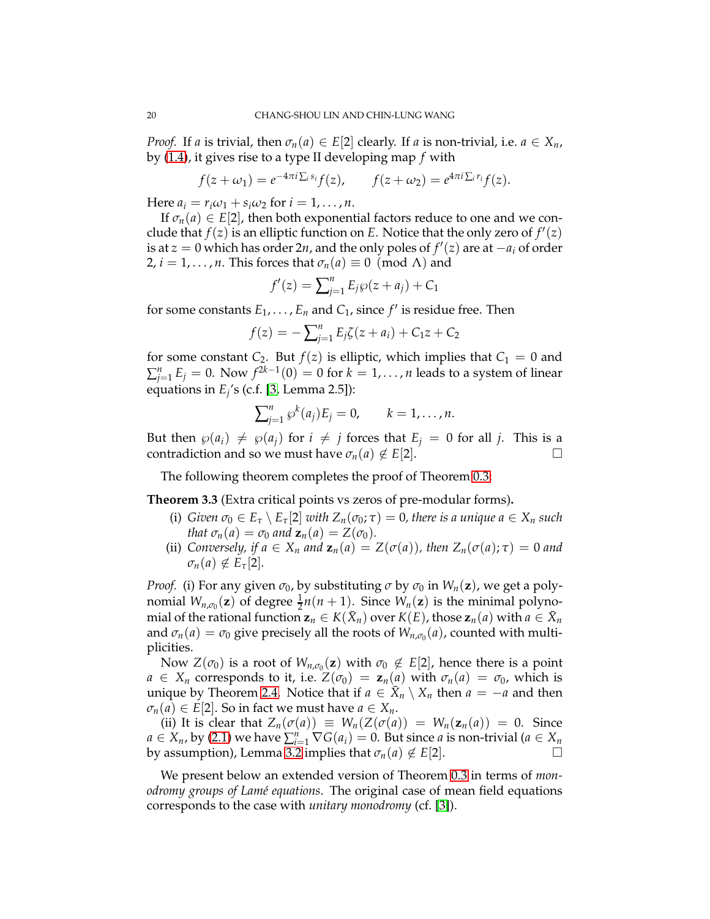*Proof.* If *a* is trivial, then  $\sigma_n(a) \in E[2]$  clearly. If *a* is non-trivial, i.e.  $a \in X_n$ , by [\(1.4\)](#page-5-3), it gives rise to a type II developing map *f* with

$$
f(z+\omega_1)=e^{-4\pi i\sum_i s_i}f(z), \qquad f(z+\omega_2)=e^{4\pi i\sum_i r_i}f(z).
$$

Here  $a_i = r_i \omega_1 + s_i \omega_2$  for  $i = 1, \dots, n$ .

If  $\sigma_n(a) \in E[2]$ , then both exponential factors reduce to one and we conclude that  $f(z)$  is an elliptic function on *E*. Notice that the only zero of  $f'(z)$ is at  $z = 0$  which has order 2*n*, and the only poles of  $f'(z)$  are at  $-a_i$  of order 2,  $i = 1, \ldots, n$ . This forces that  $\sigma_n(a) \equiv 0 \pmod{\Lambda}$  and

$$
f'(z) = \sum_{j=1}^{n} E_j \wp(z + a_j) + C_1
$$

for some constants  $E_1, \ldots, E_n$  and  $C_1$ , since  $f'$  is residue free. Then

$$
f(z) = -\sum_{j=1}^{n} E_j \zeta(z + a_i) + C_1 z + C_2
$$

for some constant  $C_2$ . But  $f(z)$  is elliptic, which implies that  $C_1 = 0$  and  $\sum_{j=1}^n E_j = 0$ . Now  $f^{2k-1}(0) = 0$  for  $k = 1, \ldots, n$  leads to a system of linear equations in  $E_j$ 's (c.f. [\[3,](#page-30-0) Lemma 2.5]):

$$
\sum_{j=1}^n \wp^k(a_j) E_j = 0, \qquad k = 1, \ldots, n.
$$

But then  $\wp(a_i) \neq \wp(a_j)$  for  $i \neq j$  forces that  $E_j = 0$  for all *j*. This is a contradiction and so we must have  $\sigma_n(a) \notin E[2]$ .

The following theorem completes the proof of Theorem [0.3:](#page-4-1)

<span id="page-19-0"></span>**Theorem 3.3** (Extra critical points vs zeros of pre-modular forms)**.**

- (i) *Given*  $\sigma_0 \in E_\tau \setminus E_\tau[2]$  *with*  $Z_n(\sigma_0; \tau) = 0$ , there is a unique  $a \in X_n$  such *that*  $\sigma_n(a) = \sigma_0$  *and*  $\mathbf{z}_n(a) = Z(\sigma_0)$ *.*
- (ii) *Conversely, if a*  $\in$  *X<sub>n</sub> and*  $z_n(a) = Z(\sigma(a))$ *, then*  $Z_n(\sigma(a); \tau) = 0$  *and*  $\sigma_n(a) \notin E_\tau[2]$ *.*

*Proof.* (i) For any given  $\sigma_0$ , by substituting  $\sigma$  by  $\sigma_0$  in  $W_n(\mathbf{z})$ , we get a polynomial  $W_{n,\sigma_0}(\mathbf{z})$  of degree  $\frac{1}{2}n(n+1)$ . Since  $W_n(\mathbf{z})$  is the minimal polyno- $\min$   $\text{and}$  of the rational function  $\mathbf{z}_n \in K(\bar{X}_n)$  over  $K(E)$ , those  $\mathbf{z}_n(a)$  with  $a \in \bar{X}_n$ and  $\sigma_n(a) = \sigma_0$  give precisely all the roots of  $W_{n,\sigma_0}(a)$ , counted with multiplicities.

Now  $Z(\sigma_0)$  is a root of  $W_{n,\sigma_0}(\mathbf{z})$  with  $\sigma_0 \notin E[2]$ , hence there is a point  $a \in X_n$  corresponds to it, i.e.  $Z(\sigma_0) = \mathbf{z}_n(a)$  with  $\sigma_n(a) = \sigma_0$ , which is unique by Theorem [2.4.](#page-11-1) Notice that if  $a \in \overline{X}_n \setminus X_n$  then  $a = -a$  and then  $\sigma_n(a) \in E[2]$ . So in fact we must have  $a \in X_n$ .

(ii) It is clear that  $Z_n(\sigma(a)) \equiv W_n(Z(\sigma(a)) = W_n(\mathbf{z}_n(a)) = 0$ . Since  $a \in X_n$ , by [\(2.1\)](#page-10-3) we have  $\sum_{i=1}^n \nabla G(a_i) = 0$ . But since *a* is non-trivial ( $a \in X_n$ by assumption), Lemma [3.2](#page-18-3) implies that  $\sigma_n(a) \notin E[2]$ .

We present below an extended version of Theorem [0.3](#page-4-1) in terms of *monodromy groups of Lam´e equations*. The original case of mean field equations corresponds to the case with *unitary monodromy* (cf. [\[3\]](#page-30-0)).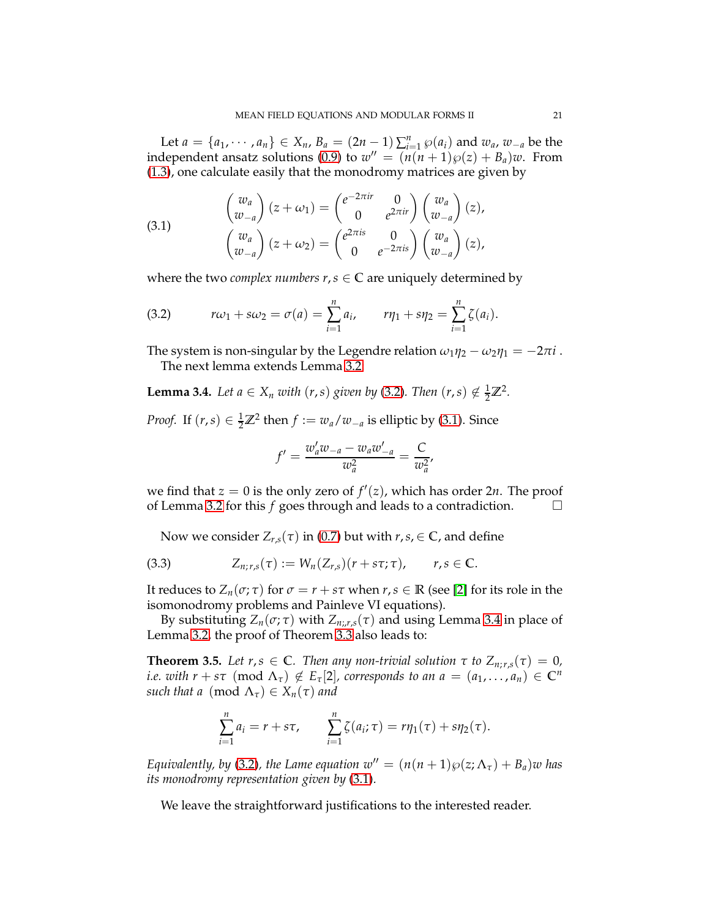Let  $a = \{a_1, \dots, a_n\} \in X_n$ ,  $B_a = (2n - 1) \sum_{i=1}^n \wp(a_i)$  and  $w_a$ ,  $w_{-a}$  be the independent ansatz solutions [\(0.9\)](#page-2-2) to  $w'' = (n(n+1)\wp(z) + B_a)w$ . From [\(1.3\)](#page-5-4), one calculate easily that the monodromy matrices are given by

<span id="page-20-2"></span>(3.1) 
$$
\begin{pmatrix} w_a \\ w_{-a} \end{pmatrix} (z + \omega_1) = \begin{pmatrix} e^{-2\pi i r} & 0 \\ 0 & e^{2\pi i r} \end{pmatrix} \begin{pmatrix} w_a \\ w_{-a} \end{pmatrix} (z), \begin{pmatrix} w_a \\ w_{-a} \end{pmatrix} (z + \omega_2) = \begin{pmatrix} e^{2\pi i s} & 0 \\ 0 & e^{-2\pi i s} \end{pmatrix} \begin{pmatrix} w_a \\ w_{-a} \end{pmatrix} (z),
$$

where the two *complex numbers*  $r, s \in \mathbb{C}$  are uniquely determined by

<span id="page-20-1"></span>(3.2) 
$$
r\omega_1 + s\omega_2 = \sigma(a) = \sum_{i=1}^n a_i, \qquad r\eta_1 + s\eta_2 = \sum_{i=1}^n \zeta(a_i).
$$

The system is non-singular by the Legendre relation  $\omega_1 \eta_2 - \omega_2 \eta_1 = -2\pi i$ . The next lemma extends Lemma [3.2:](#page-18-3)

<span id="page-20-3"></span>**Lemma 3.4.** *Let a*  $\in$  *X<sub>n</sub> with*  $(r, s)$  *given by* [\(3.2\)](#page-20-1)*. Then*  $(r, s) \notin \frac{1}{2}\mathbb{Z}^2$ *.* 

*Proof.* If  $(r, s) \in \frac{1}{2}\mathbb{Z}^2$  then  $f := w_a/w_{-a}$  is elliptic by [\(3.1\)](#page-20-2). Since

$$
f' = \frac{w'_a w_{-a} - w_a w'_{-a}}{w_a^2} = \frac{C}{w_a^2},
$$

we find that  $z = 0$  is the only zero of  $f'(z)$ , which has order  $2n$ . The proof of Lemma [3.2](#page-18-3) for this *f* goes through and leads to a contradiction.

Now we consider  $Z_{r,s}(\tau)$  in [\(0.7\)](#page-1-4) but with  $r, s \in \mathbb{C}$ , and define

$$
(3.3) \t Z_{n;r,s}(\tau) := W_n(Z_{r,s})(r+s\tau;\tau), \t r,s \in \mathbb{C}.
$$

It reduces to  $Z_n(\sigma; \tau)$  for  $\sigma = r + s\tau$  when  $r, s \in \mathbb{R}$  (see [\[2\]](#page-30-5) for its role in the isomonodromy problems and Painleve VI equations).

By substituting  $Z_n(\sigma; \tau)$  with  $Z_{n; r,s}(\tau)$  and using Lemma [3.4](#page-20-3) in place of Lemma [3.2,](#page-18-3) the proof of Theorem [3.3](#page-19-0) also leads to:

<span id="page-20-0"></span>**Theorem 3.5.** Let  $r, s \in \mathbb{C}$ . Then any non-trivial solution  $\tau$  to  $Z_{n; r, s}(\tau) = 0$ , *i.e. with*  $r + s\tau \pmod{\Lambda_{\tau}} \notin E_{\tau}[2]$ , corresponds to an  $a = (a_1, \ldots, a_n) \in \mathbb{C}^n$ *such that a* (mod  $\Lambda_{\tau}$ )  $\in X_n(\tau)$  *and* 

$$
\sum_{i=1}^{n} a_i = r + s\tau, \qquad \sum_{i=1}^{n} \zeta(a_i; \tau) = r\eta_1(\tau) + s\eta_2(\tau).
$$

*Equivalently, by* [\(3.2\)](#page-20-1)*, the Lame equation*  $w' = (n(n+1)\wp(z; \Lambda_\tau) + B_a)w$  *has its monodromy representation given by* [\(3.1\)](#page-20-2)*.*

We leave the straightforward justifications to the interested reader.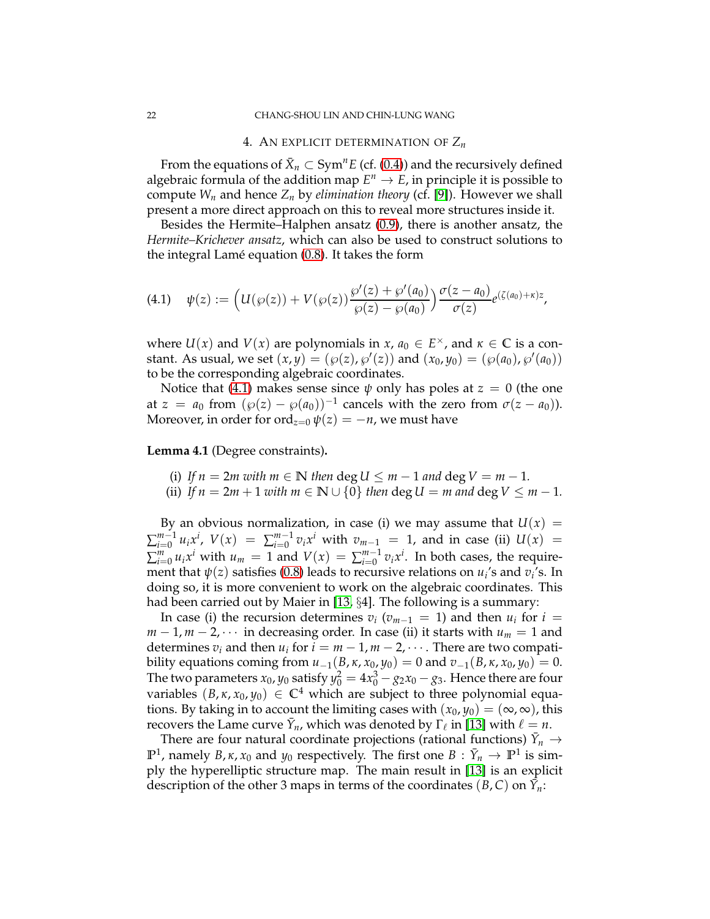#### 4. AN EXPLICIT DETERMINATION OF *Z<sup>n</sup>*

<span id="page-21-0"></span>From the equations of  $\bar{X}_n \subset \text{Sym}^n E$  (cf. [\(0.4\)](#page-1-0)) and the recursively defined algebraic formula of the addition map  $E^n \to E$ , in principle it is possible to compute  $W_n$  and hence  $Z_n$  by *elimination theory* (cf. [\[9\]](#page-30-13)). However we shall present a more direct approach on this to reveal more structures inside it.

Besides the Hermite–Halphen ansatz [\(0.9\)](#page-2-2), there is another ansatz, the *Hermite–Krichever ansatz*, which can also be used to construct solutions to the integral Lamé equation  $(0.8)$ . It takes the form

<span id="page-21-1"></span>
$$
(4.1) \quad \psi(z) := \Big( U(\wp(z)) + V(\wp(z)) \frac{\wp'(z) + \wp'(a_0)}{\wp(z) - \wp(a_0)} \Big) \frac{\sigma(z - a_0)}{\sigma(z)} e^{(\zeta(a_0) + \kappa)z},
$$

where  $U(x)$  and  $V(x)$  are polynomials in  $x, a_0 \in E^{\times}$ , and  $\kappa \in \mathbb{C}$  is a constant. As usual, we set  $(x, y) = (\wp(z), \wp'(z))$  and  $(x_0, y_0) = (\wp(a_0), \wp'(a_0))$ to be the corresponding algebraic coordinates.

Notice that [\(4.1\)](#page-21-1) makes sense since  $\psi$  only has poles at  $z = 0$  (the one at  $z = a_0$  from  $(\wp(z) - \wp(a_0))^{-1}$  cancels with the zero from  $\sigma(z - a_0)$ ). Moreover, in order for ord<sub> $z=0$ </sub>  $\psi(z) = -n$ , we must have

#### **Lemma 4.1** (Degree constraints)**.**

(i) If 
$$
n = 2m
$$
 with  $m \in \mathbb{N}$  then  $\deg U \leq m - 1$  and  $\deg V = m - 1$ .

(ii) *If*  $n = 2m + 1$  *with*  $m \in \mathbb{N} \cup \{0\}$  *then* deg  $U = m$  *and* deg  $V \leq m - 1$ *.* 

By an obvious normalization, in case (i) we may assume that  $U(x) =$  $\sum_{i=0}^{m-1}$  $\sum_{i=0}^{m-1} u_i x^i$ ,  $V(x) = \sum_{i=0}^{m-1}$  $\int_{i=0}^{m-1} v_i x^i$  with  $v_{m-1} = 1$ , and in case (ii)  $U(x) = 1$  $\sum_{i=0}^{m} u_i x^i$  with  $u_m = 1$  and  $V(x) = \sum_{i=0}^{m-1}$  $\int_{i=0}^{m-1} v_i x^i$ . In both cases, the requirement that *ψ*(*z*) satisfies [\(0.8\)](#page-2-0) leads to recursive relations on *u<sup>i</sup>* 's and *v<sup>i</sup>* 's. In doing so, it is more convenient to work on the algebraic coordinates. This had been carried out by Maier in [\[13,](#page-30-7) §4]. The following is a summary:

In case (i) the recursion determines  $v_i$  ( $v_{m-1} = 1$ ) and then  $u_i$  for  $i =$  $m-1$ ,  $m-2$ ,  $\cdots$  in decreasing order. In case (ii) it starts with  $u_m = 1$  and determines  $v_i$  and then  $u_i$  for  $i = m - 1, m - 2, \cdots$ . There are two compatibility equations coming from *u*−1(*B*, *κ*, *x*0, *y*0) = 0 and *v*−1(*B*, *κ*, *x*0, *y*0) = 0. The two parameters  $x_0$ ,  $y_0$  satisfy  $y_0^2 = 4x_0^3 - g_2x_0 - g_3$ . Hence there are four variables  $(B, \kappa, x_0, y_0) \in \mathbb{C}^4$  which are subject to three polynomial equations. By taking in to account the limiting cases with  $(x_0, y_0) = (\infty, \infty)$ , this recovers the Lame curve  $\bar{Y}_n$ , which was denoted by  $\Gamma_\ell$  in [\[13\]](#page-30-7) with  $\ell = n$ .

There are four natural coordinate projections (rational functions)  $\bar{Y}_n \rightarrow$ **P**<sup>1</sup>, namely *B*, *κ*, *x*<sub>0</sub> and *y*<sub>0</sub> respectively. The first one *B* :  $\bar{Y}_n \to \mathbb{P}^1$  is simply the hyperelliptic structure map. The main result in [\[13\]](#page-30-7) is an explicit description of the other 3 maps in terms of the coordinates  $(B, C)$  on  $\bar{Y}_n$ :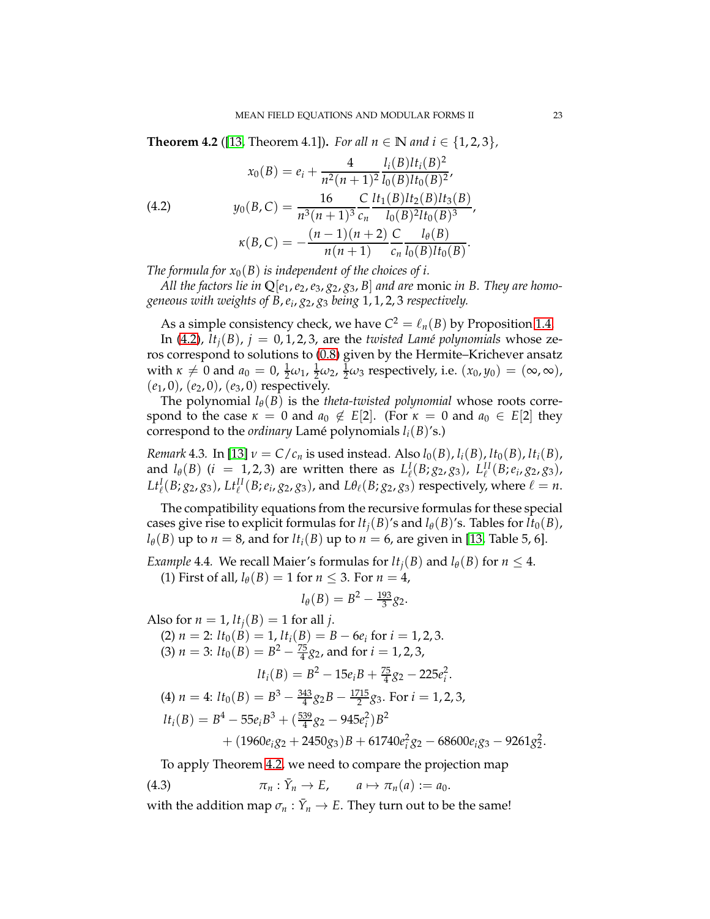<span id="page-22-1"></span>**Theorem 4.2** ([\[13,](#page-30-7) Theorem 4.1]). *For all*  $n \in \mathbb{N}$  *and*  $i \in \{1, 2, 3\}$ *,* 

<span id="page-22-0"></span>(4.2) 
$$
x_0(B) = e_i + \frac{4}{n^2(n+1)^2} \frac{l_i(B)l t_i(B)^2}{l_0(B)l t_0(B)^2},
$$

$$
y_0(B,C) = \frac{16}{n^3(n+1)^3} \frac{C}{c_n} \frac{l t_1(B)l t_2(B)l t_3(B)}{l_0(B)^2l t_0(B)^3},
$$

$$
\kappa(B,C) = -\frac{(n-1)(n+2)}{n(n+1)} \frac{C}{c_n} \frac{l_\theta(B)}{l_0(B)l t_0(B)}.
$$

*The formula for*  $x_0(B)$  *is independent of the choices of i.* 

*All the factors lie in*  $\mathbb{Q}[e_1, e_2, e_3, g_2, g_3, B]$  *and are monic in B. They are homogeneous with weights of B*,*e<sup>i</sup>* , *g*2, *g*<sup>3</sup> *being* 1, 1, 2, 3 *respectively.*

As a simple consistency check, we have  $C^2 = \ell_n(B)$  by Proposition [1.4.](#page-7-0)

In [\(4.2\)](#page-22-0),  $lt_i(B)$ ,  $j = 0, 1, 2, 3$ , are the *twisted Lamé polynomials* whose zeros correspond to solutions to [\(0.8\)](#page-2-0) given by the Hermite–Krichever ansatz with  $\kappa \neq 0$  and  $a_0 = 0$ ,  $\frac{1}{2}\omega_1$ ,  $\frac{1}{2}\omega_2$ ,  $\frac{1}{2}\omega_3$  respectively, i.e.  $(x_0, y_0) = (\infty, \infty)$ , (*e*1, 0), (*e*2, 0), (*e*3, 0) respectively.

The polynomial  $l_{\theta}(B)$  is the *theta-twisted polynomial* whose roots correspond to the case  $\kappa = 0$  and  $a_0 \notin E[2]$ . (For  $\kappa = 0$  and  $a_0 \in E[2]$  they correspond to the *ordinary* Lamé polynomials  $l_i(B)$ 's.)

*Remark* 4.3. In [\[13\]](#page-30-7)  $\nu = C/c_n$  is used instead. Also  $l_0(B)$ ,  $l_i(B)$ ,  $lt_0(B)$ ,  $lt_i(B)$ , and  $l_{\theta}(B)$  (*i* = 1, 2, 3) are written there as  $L_{\ell}^{I}(B; g_2, g_3)$ ,  $L_{\ell}^{II}(B; e_i, g_2, g_3)$ ,  $Lt^I_{\ell}(B; g_2, g_3)$ ,  $Lt^{II}_{\ell}(B; e_i, g_2, g_3)$ , and  $L\theta_{\ell}(B; g_2, g_3)$  respectively, where  $\ell = n$ .

The compatibility equations from the recursive formulas for these special cases give rise to explicit formulas for  $lt_i(B)$ 's and  $l_\theta(B)$ 's. Tables for  $lt_0(B)$ ,  $l_\theta$ (*B*) up to *n* = 8, and for  $lt_i$ (*B*) up to *n* = 6, are given in [\[13,](#page-30-7) Table 5, 6].

<span id="page-22-2"></span>*Example* 4.4*.* We recall Maier's formulas for  $lt_i(B)$  and  $l_\theta(B)$  for  $n \leq 4$ . (1) First of all,  $l_\theta(B) = 1$  for  $n \leq 3$ . For  $n = 4$ ,

$$
l_{\theta}(B) = B^2 - \frac{193}{3}g_2.
$$

Also for  $n = 1$ ,  $lt_i(B) = 1$  for all *j*.  $(2)$  *n* = 2:  $lt_0(B) = 1$ ,  $lt_i(B) = B - 6e_i$  for  $i = 1, 2, 3$ . (3)  $n = 3$ :  $lt_0(B) = B^2 - \frac{75}{4}g_2$ , and for  $i = 1, 2, 3$ ,  $lt_i(B) = B^2 - 15e_iB + \frac{75}{4}g_2 - 225e_i^2$ . (4)  $n = 4$ :  $lt_0(B) = B^3 - \frac{343}{4}g_2B - \frac{1715}{2}g_3$ . For  $i = 1, 2, 3$ ,  $lt_i(B) = B^4 - 55e_iB^3 + (\frac{539}{4}g_2 - 945e_i^2)B^2$  $+ (1960e_i g_2 + 2450g_3)B + 61740e_i^2 g_2 - 68600e_i g_3 - 9261g_2^2$ .

To apply Theorem [4.2,](#page-22-0) we need to compare the projection map

(4.3) 
$$
\pi_n: \bar{Y}_n \to E, \qquad a \mapsto \pi_n(a) := a_0.
$$

with the addition map  $\sigma_n: \bar{Y}_n \to E$ . They turn out to be the same!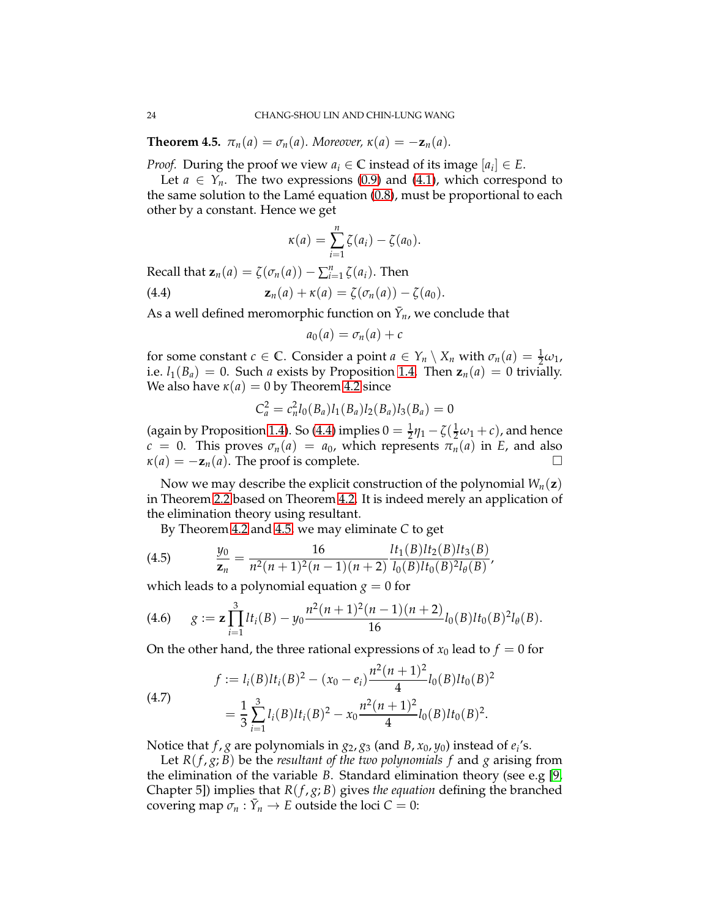<span id="page-23-0"></span>**Theorem 4.5.**  $\pi_n(a) = \sigma_n(a)$ . Moreover,  $\kappa(a) = -\mathbf{z}_n(a)$ .

*Proof.* During the proof we view  $a_i \in \mathbb{C}$  instead of its image  $[a_i] \in E$ .

Let  $a \in Y_n$ . The two expressions [\(0.9\)](#page-2-2) and [\(4.1\)](#page-21-1), which correspond to the same solution to the Lamé equation  $(0.8)$ , must be proportional to each other by a constant. Hence we get

$$
\kappa(a)=\sum_{i=1}^n \zeta(a_i)-\zeta(a_0).
$$

Recall that  $\mathbf{z}_n(a) = \zeta(\sigma_n(a)) - \sum_{i=1}^n \zeta(a_i)$ . Then

(4.4) 
$$
\mathbf{z}_n(a) + \kappa(a) = \zeta(\sigma_n(a)) - \zeta(a_0).
$$

As a well defined meromorphic function on  $\bar{Y}_n$ , we conclude that

<span id="page-23-1"></span>
$$
a_0(a)=\sigma_n(a)+c
$$

for some constant *c*  $\in \mathbb{C}$ . Consider a point  $a \in Y_n \setminus X_n$  with  $\sigma_n(a) = \frac{1}{2}\omega_1$ , i.e.  $l_1(B_a) = 0$ . Such *a* exists by Proposition [1.4.](#page-7-0) Then  $z_n(a) = 0$  trivially. We also have  $\kappa(a) = 0$  by Theorem [4.2](#page-22-0) since

$$
C_a^2 = c_n^2 l_0(B_a) l_1(B_a) l_2(B_a) l_3(B_a) = 0
$$

(again by Proposition [1.4\)](#page-7-0). So [\(4.4\)](#page-23-1) implies  $0 = \frac{1}{2}\eta_1 - \zeta(\frac{1}{2}\omega_1 + c)$ , and hence  $c = 0$ . This proves  $\sigma_n(a) = a_0$ , which represents  $\pi_n(a)$  in *E*, and also  $\kappa(a) = -\mathbf{z}_n(a)$ . The proof is complete.

Now we may describe the explicit construction of the polynomial  $W_n(\mathbf{z})$ in Theorem [2.2](#page-10-1) based on Theorem [4.2.](#page-22-1) It is indeed merely an application of the elimination theory using resultant.

By Theorem [4.2](#page-22-1) and [4.5,](#page-23-0) we may eliminate *C* to get

(4.5) 
$$
\frac{y_0}{z_n} = \frac{16}{n^2(n+1)^2(n-1)(n+2)} \frac{lt_1(B)lt_2(B)lt_3(B)}{l_0(B)lt_0(B)^2l_{\theta}(B)},
$$

which leads to a polynomial equation  $g = 0$  for

<span id="page-23-3"></span>(4.6) 
$$
g := \mathbf{z} \prod_{i=1}^{3} l t_i(B) - y_0 \frac{n^2(n+1)^2(n-1)(n+2)}{16} l_0(B) l t_0(B)^2 l_{\theta}(B).
$$

On the other hand, the three rational expressions of  $x_0$  lead to  $f = 0$  for

<span id="page-23-2"></span>(4.7)  

$$
f := l_i(B)lt_i(B)^2 - (x_0 - e_i)\frac{n^2(n+1)^2}{4}l_0(B)lt_0(B)^2
$$

$$
= \frac{1}{3}\sum_{i=1}^3 l_i(B)lt_i(B)^2 - x_0\frac{n^2(n+1)^2}{4}l_0(B)lt_0(B)^2.
$$

Notice that *f* , *g* are polynomials in *g*2, *g*<sup>3</sup> (and *B*, *x*0, *y*0) instead of *e<sup>i</sup>* 's.

Let  $R(f, g; B)$  be the *resultant of the two polynomials f* and *g* arising from the elimination of the variable *B*. Standard elimination theory (see e.g [\[9,](#page-30-13) Chapter 5]) implies that *R*(*f* , *g*; *B*) gives *the equation* defining the branched covering map  $\sigma_n : \bar{Y}_n \to E$  outside the loci  $C = 0$ :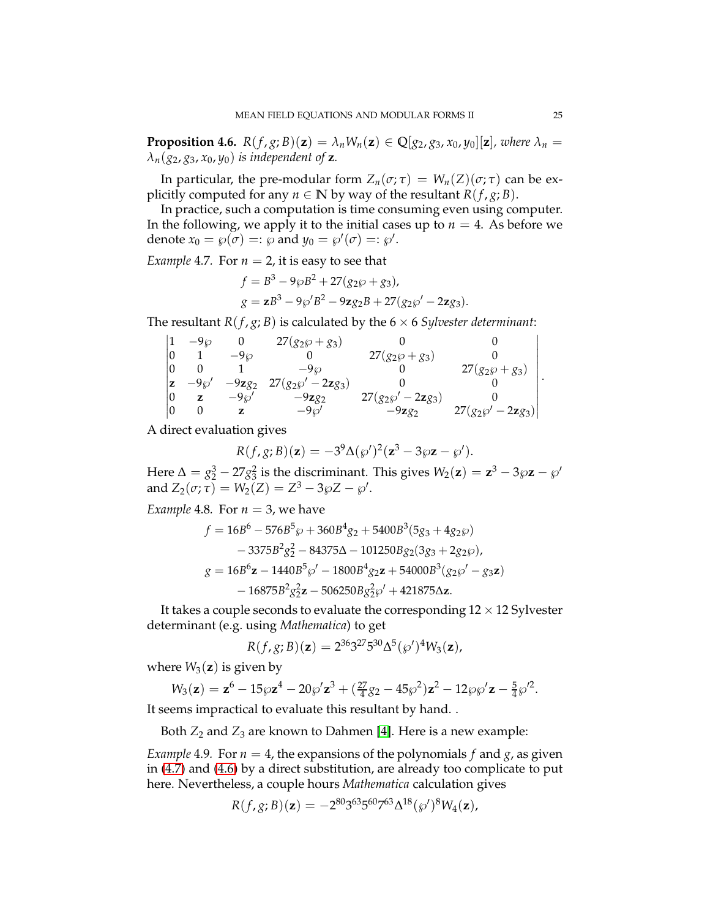**Proposition 4.6.**  $R(f, g; B)(z) = \lambda_n W_n(z) \in \mathbb{Q}[g_2, g_3, x_0, y_0][z]$ , where  $\lambda_n =$  $\lambda_n(g_2, g_3, x_0, y_0)$  *is independent of* **z**.

In particular, the pre-modular form  $Z_n(\sigma; \tau) = W_n(Z)(\sigma; \tau)$  can be explicitly computed for any  $n \in \mathbb{N}$  by way of the resultant  $R(f, g; B)$ .

In practice, such a computation is time consuming even using computer. In the following, we apply it to the initial cases up to  $n = 4$ . As before we denote  $x_0 = \wp(\sigma) =: \wp$  and  $y_0 = \wp'(\sigma) =: \wp'.$ 

*Example* 4.7*.* For  $n = 2$ , it is easy to see that

$$
f = B3 - 9\wp B2 + 27(g_2\wp + g_3),
$$
  
\n
$$
g = zB3 - 9\wp'B2 - 9zg_2B + 27(g_2\wp' - 2zg_3).
$$

The resultant *R*( $f$ , $g$ ; *B*) is calculated by the 6  $\times$  6 *Sylvester determinant*:

|   | $-9\varnothing$ |          | $27(g_2\wp + g_3)$                 |                                |                              |  |
|---|-----------------|----------|------------------------------------|--------------------------------|------------------------------|--|
|   |                 | $-9\wp$  |                                    | $27(g_2\wp + g_3)$             |                              |  |
|   |                 |          | $-9\omega$                         |                                | $27(g_2\wp+g_3)$             |  |
| z | $-9\wp'$        | $-9zg_2$ | 27( $g_2\wp'$ – 2zg <sub>3</sub> ) |                                |                              |  |
|   |                 | $-9\wp'$ | $-9zg_2$                           | $27(g_2\wp' - 2\mathbf{z}g_3)$ |                              |  |
|   |                 |          | $-9\wp'$                           | $-9zg_2$                       | $27(g_2\wp'-2\mathbf{z}g_3)$ |  |

A direct evaluation gives

$$
R(f,g;B)(\mathbf{z})=-3^9\Delta(\wp')^2(\mathbf{z}^3-3\wp\mathbf{z}-\wp').
$$

Here  $\Delta = g_2^3 - 27g_3^2$  is the discriminant. This gives  $W_2(\mathbf{z}) = \mathbf{z}^3 - 3\wp \mathbf{z} - \wp'$ and  $Z_2(\sigma; \tau) = W_2(Z) = Z^3 - 3\wp Z - \wp'.$ 

*Example* 4.8*.* For  $n = 3$ , we have

$$
f = 16B^{6} - 576B^{5}\wp + 360B^{4}g_{2} + 5400B^{3}(5g_{3} + 4g_{2}\wp)
$$
  
\n
$$
- 3375B^{2}g_{2}^{2} - 84375\Delta - 101250Bg_{2}(3g_{3} + 2g_{2}\wp),
$$
  
\n
$$
g = 16B^{6}\mathbf{z} - 1440B^{5}\wp' - 1800B^{4}g_{2}\mathbf{z} + 54000B^{3}(g_{2}\wp' - g_{3}\mathbf{z})
$$
  
\n
$$
- 16875B^{2}g_{2}^{2}\mathbf{z} - 506250Bg_{2}^{2}\wp' + 421875\Delta\mathbf{z}.
$$

It takes a couple seconds to evaluate the corresponding  $12 \times 12$  Sylvester determinant (e.g. using *Mathematica*) to get

$$
R(f,g;B)(z) = 2^{36}3^{27}5^{30}\Delta^{5}(\wp')^{4}W_{3}(z),
$$

where  $W_3(z)$  is given by

$$
W_3(\mathbf{z}) = \mathbf{z}^6 - 15\wp \mathbf{z}^4 - 20\wp' \mathbf{z}^3 + (\frac{27}{4}g_2 - 45\wp^2) \mathbf{z}^2 - 12\wp \wp' \mathbf{z} - \frac{5}{4} \wp'^2.
$$

It seems impractical to evaluate this resultant by hand. .

Both *Z*<sup>2</sup> and *Z*<sup>3</sup> are known to Dahmen [\[4\]](#page-30-6). Here is a new example:

<span id="page-24-0"></span>*Example* 4.9. For  $n = 4$ , the expansions of the polynomials  $f$  and  $g$ , as given in [\(4.7\)](#page-23-2) and [\(4.6\)](#page-23-3) by a direct substitution, are already too complicate to put here. Nevertheless, a couple hours *Mathematica* calculation gives

$$
R(f,g;B)(z) = -2^{80}3^{63}5^{60}7^{63}\Delta^{18}(\wp')^8W_4(z),
$$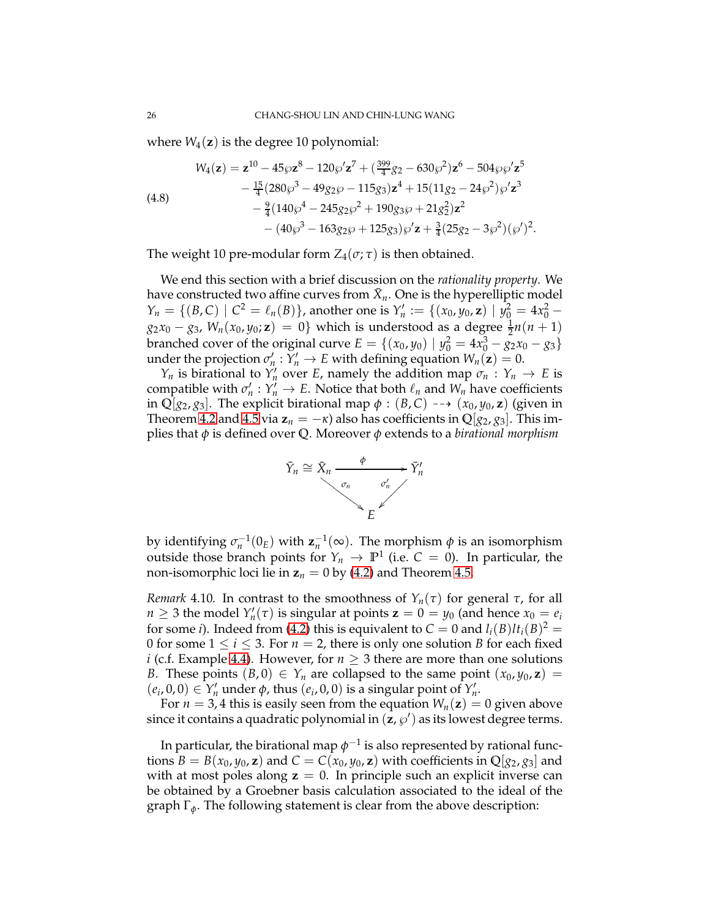where  $W_4(z)$  is the degree 10 polynomial:

<span id="page-25-0"></span>(4.8)  
\n
$$
W_4(\mathbf{z}) = \mathbf{z}^{10} - 45\wp \mathbf{z}^8 - 120\wp' \mathbf{z}^7 + (\frac{399}{4}g_2 - 630\wp^2) \mathbf{z}^6 - 504\wp \wp' \mathbf{z}^5 - \frac{15}{4} (280\wp^3 - 49g_2\wp - 115g_3) \mathbf{z}^4 + 15(11g_2 - 24\wp^2) \wp' \mathbf{z}^3 - \frac{9}{4} (140\wp^4 - 245g_2\wp^2 + 190g_3\wp + 21g_2^2) \mathbf{z}^2 - (40\wp^3 - 163g_2\wp + 125g_3) \wp' \mathbf{z} + \frac{3}{4} (25g_2 - 3\wp^2) (\wp')^2.
$$

The weight 10 pre-modular form  $Z_4(\sigma; \tau)$  is then obtained.

We end this section with a brief discussion on the *rationality property*. We have constructed two affine curves from  $\bar{X}_n$ . One is the hyperelliptic model  $Y_n = \{(B, C) \mid C^2 = \ell_n(B)\}\text{, another one is } Y'_n := \{(x_0, y_0, \mathbf{z}) \mid y_0^2 = 4x_0^2 - \ell_n(B)\}\text{, another one is } Y'_n := \{(x_0, y_0, \mathbf{z}) \mid y_0^2 = 4x_0^2 - \ell_n(B)\}\text{, another one is } Y'_n := \{(x_0, y_0, \mathbf{z}) \mid y_0^2 = 4x_0^2 - \ell_n(B)\}$  $g_2x_0 - g_3$ ,  $W_n(x_0, y_0; \mathbf{z}) = 0$ } which is understood as a degree  $\frac{1}{2}n(n+1)$ branched cover of the original curve  $E = \{(x_0, y_0) | y_0^2 = 4x_0^3 - g_2x_0 - g_3\}$ under the projection  $\sigma'_n : Y'_n \to E$  with defining equation  $W_n(\mathbf{z}) = 0$ .

*Y<sub>n</sub>* is birational to *Y*<sup>*n*</sup></sup> over *E*, namely the addition map  $\sigma_n$  :  $Y_n \to E$  is compatible with  $\sigma'_n : Y'_n \to E$ . Notice that both  $\ell_n$  and  $W_n$  have coefficients in Q[ $g_2$ ,  $g_3$ ]. The explicit birational map  $\phi$  : (*B*, *C*) --+ ( $x_0$ ,  $y_0$ , **z**) (given in Theorem [4.2](#page-22-1) and [4.5](#page-23-0) via  $z_n = -\kappa$ ) also has coefficients in  $\mathbb{Q}[g_2, g_3]$ . This implies that *φ* is defined over **Q**. Moreover *φ* extends to a *birational morphism*



by identifying  $\sigma_n^{-1}(0_E)$  with  $\mathbf{z}_n^{-1}(\infty)$ . The morphism  $\phi$  is an isomorphism outside those branch points for  $Y_n \rightarrow \mathbb{P}^1$  (i.e.  $C = 0$ ). In particular, the non-isomorphic loci lie in  $z_n = 0$  by [\(4.2\)](#page-22-0) and Theorem [4.5.](#page-23-0)

*Remark* 4.10*.* In contrast to the smoothness of  $Y_n(τ)$  for general *τ*, for all *n*  $\geq$  3 the model  $Y'_n(\tau)$  is singular at points  $\mathbf{z} = 0 = y_0$  (and hence  $x_0 = e_i$ for some *i*). Indeed from [\(4.2\)](#page-22-0) this is equivalent to  $C = 0$  and  $l_i(B)l t_i(B)^2 = 0$ 0 for some  $1 \le i \le 3$ . For  $n = 2$ , there is only one solution *B* for each fixed *i* (c.f. Example [4.4\)](#page-22-2). However, for  $n \geq 3$  there are more than one solutions *B*. These points  $(B, 0) \in Y_n$  are collapsed to the same point  $(x_0, y_0, \mathbf{z}) =$  $(e_i, 0, 0) \in Y'_n$  under  $\phi$ , thus  $(e_i, 0, 0)$  is a singular point of  $Y'_n$ .

For  $n = 3, 4$  this is easily seen from the equation  $W_n(z) = 0$  given above since it contains a quadratic polynomial in  $(\mathbf{z}, \wp')$  as its lowest degree terms.

In particular, the birational map  $\phi^{-1}$  is also represented by rational functions  $B = B(x_0, y_0, z)$  and  $C = C(x_0, y_0, z)$  with coefficients in  $\mathbb{Q}[g_2, g_3]$  and with at most poles along  $z = 0$ . In principle such an explicit inverse can be obtained by a Groebner basis calculation associated to the ideal of the graph Γ*φ*. The following statement is clear from the above description: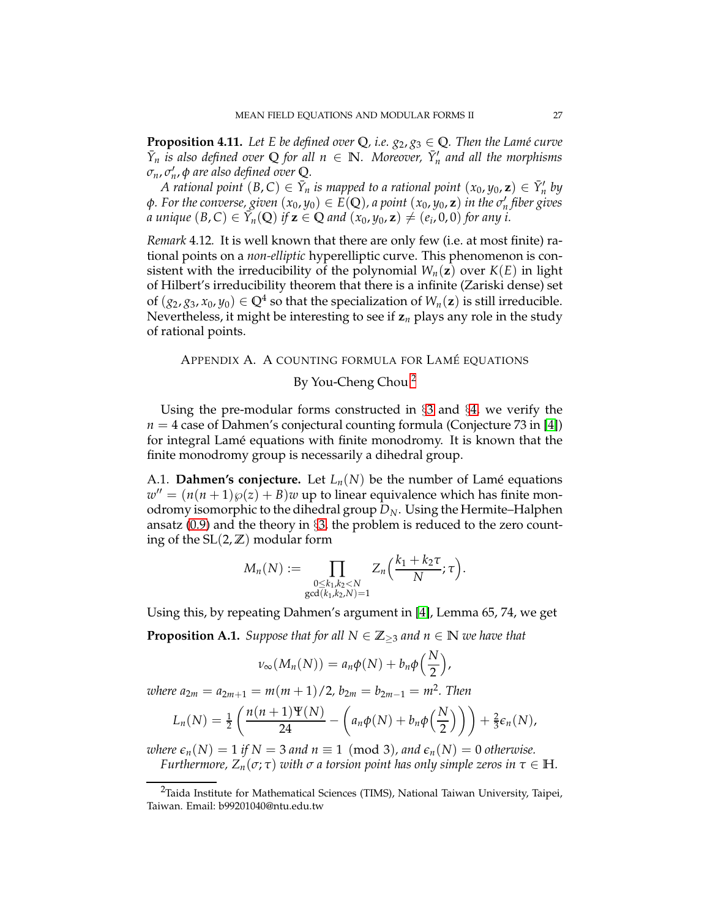**Proposition 4.11.** Let E be defined over  $\mathbb{Q}$ , i.e.  $g_2, g_3 \in \mathbb{Q}$ . Then the Lamé curve  $\bar{Y}_n$  *is also defined over* Q *for all*  $n \in \mathbb{N}$ *. Moreover,*  $\bar{Y}'_n$  *and all the morphisms σn*, *σ* ′ *n* , *φ are also defined over* **Q***.*

*A* rational point  $(B,C) \in \bar{Y}_n$  is mapped to a rational point  $(x_0,y_0,\mathbf{z}) \in \bar{Y}'_n$  by  $\phi$ *. For the converse, given*  $(x_0, y_0) \in E(\mathbb{Q})$ *, a point*  $(x_0, y_0, \mathbf{z})$  *in the*  $\sigma'_n$  *fiber gives a unique*  $(B,C) \in \tilde{Y}_n(Q)$  *if*  $z \in Q$  *and*  $(x_0, y_0, z) \neq (e_i, 0, 0)$  for any i.

*Remark* 4.12*.* It is well known that there are only few (i.e. at most finite) rational points on a *non-elliptic* hyperelliptic curve. This phenomenon is consistent with the irreducibility of the polynomial  $W_n(z)$  over  $K(E)$  in light of Hilbert's irreducibility theorem that there is a infinite (Zariski dense) set of  $(g_2, g_3, x_0, y_0) \in \mathbb{Q}^4$  so that the specialization of  $W_n(\mathbf{z})$  is still irreducible. Nevertheless, it might be interesting to see if **z***<sup>n</sup>* plays any role in the study of rational points.

## <span id="page-26-0"></span>APPENDIX A. A COUNTING FORMULA FOR LAMÉ EQUATIONS

# By You-Cheng Chou<sup>[2](#page-26-1)</sup>

Using the pre-modular forms constructed in §[3](#page-18-0) and §[4,](#page-21-0) we verify the  $n = 4$  case of Dahmen's conjectural counting formula (Conjecture 73 in [\[4\]](#page-30-6)) for integral Lamé equations with finite monodromy. It is known that the finite monodromy group is necessarily a dihedral group.

A.1. **Dahmen's conjecture.** Let  $L_n(N)$  be the number of Lamé equations  $w'' = (n(n+1)\wp(z) + B)w$  up to linear equivalence which has finite monodromy isomorphic to the dihedral group *DN*. Using the Hermite–Halphen ansatz  $(0.9)$  and the theory in  $\S$ [3,](#page-18-0) the problem is reduced to the zero counting of the  $SL(2, \mathbb{Z})$  modular form

$$
M_n(N) := \prod_{\substack{0 \leq k_1, k_2 < N \\ \gcd(k_1, k_2, N) = 1}} Z_n\Big(\frac{k_1 + k_2 \tau}{N}; \tau\Big).
$$

<span id="page-26-2"></span>Using this, by repeating Dahmen's argument in [\[4\]](#page-30-6), Lemma 65, 74, we get **Proposition A.1.** *Suppose that for all*  $N \in \mathbb{Z}_{\geq 3}$  *and*  $n \in \mathbb{N}$  *we have that* 

$$
\nu_{\infty}(M_n(N))=a_n\phi(N)+b_n\phi\left(\frac{N}{2}\right),
$$

 $\nu$ *where*  $a_{2m} = a_{2m+1} = m(m+1)/2$ ,  $b_{2m} = b_{2m-1} = m^2$ . Then

$$
L_n(N)=\frac{1}{2}\left(\frac{n(n+1)\Psi(N)}{24}-\left(a_n\phi(N)+b_n\phi\left(\frac{N}{2}\right)\right)\right)+\frac{2}{3}\epsilon_n(N),
$$

*where*  $\epsilon_n(N) = 1$  *if*  $N = 3$  *and*  $n \equiv 1 \pmod{3}$ *, and*  $\epsilon_n(N) = 0$  *otherwise. Furthermore,*  $Z_n(\sigma; \tau)$  *with*  $\sigma$  *a* torsion point has only simple zeros in  $\tau \in \mathbb{H}$ *.* 

<span id="page-26-1"></span><sup>&</sup>lt;sup>2</sup>Taida Institute for Mathematical Sciences (TIMS), National Taiwan University, Taipei, Taiwan. Email: b99201040@ntu.edu.tw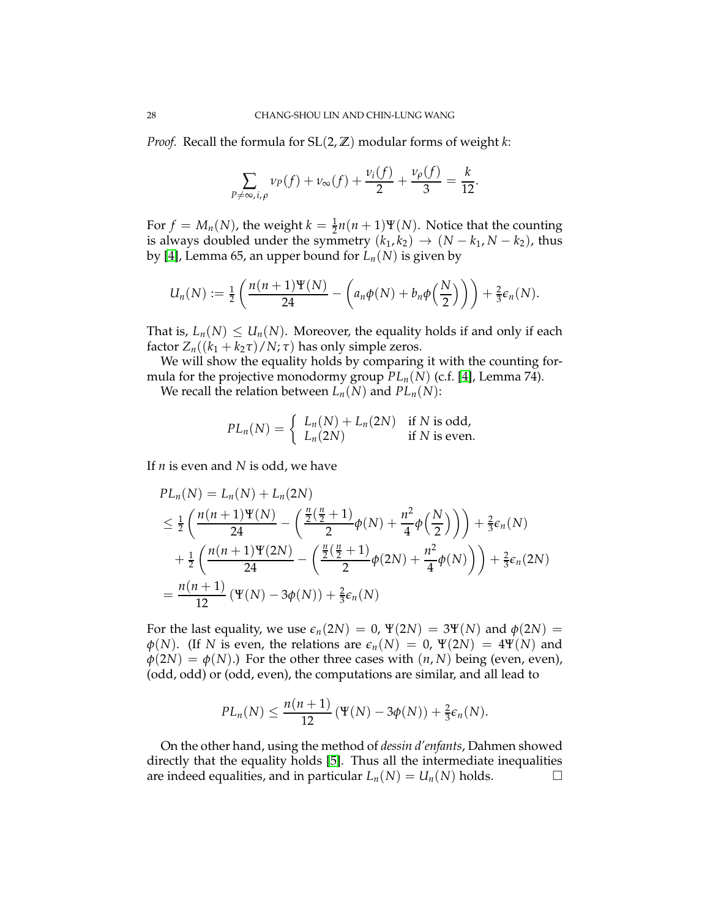*Proof.* Recall the formula for SL(2, **Z**) modular forms of weight *k*:

$$
\sum_{P \neq \infty, i, \rho} \nu_P(f) + \nu_\infty(f) + \frac{\nu_i(f)}{2} + \frac{\nu_\rho(f)}{3} = \frac{k}{12}.
$$

For  $f = M_n(N)$ , the weight  $k = \frac{1}{2}n(n+1)\Psi(N)$ . Notice that the counting is always doubled under the symmetry  $(k_1, k_2) \rightarrow (N - k_1, N - k_2)$ , thus by [\[4\]](#page-30-6), Lemma 65, an upper bound for  $L_n(N)$  is given by

$$
U_n(N) := \frac{1}{2}\left(\frac{n(n+1)\Psi(N)}{24} - \left(a_n\phi(N) + b_n\phi\left(\frac{N}{2}\right)\right)\right) + \frac{2}{3}\varepsilon_n(N).
$$

That is,  $L_n(N) \leq U_n(N)$ . Moreover, the equality holds if and only if each factor  $Z_n((k_1 + k_2\tau)/N; \tau)$  has only simple zeros.

We will show the equality holds by comparing it with the counting formula for the projective monodormy group *PLn*(*N*) (c.f. [\[4\]](#page-30-6), Lemma 74).

We recall the relation between  $L_n(N)$  and  $PL_n(N)$ :

$$
PL_n(N) = \begin{cases} L_n(N) + L_n(2N) & \text{if } N \text{ is odd,} \\ L_n(2N) & \text{if } N \text{ is even.} \end{cases}
$$

If *n* is even and *N* is odd, we have

$$
PL_n(N) = L_n(N) + L_n(2N)
$$
  
\n
$$
\leq \frac{1}{2} \left( \frac{n(n+1)\Psi(N)}{24} - \left( \frac{\frac{n}{2}(\frac{n}{2}+1)}{2} \phi(N) + \frac{n^2}{4} \phi(\frac{N}{2}) \right) \right) + \frac{2}{3} \epsilon_n(N)
$$
  
\n
$$
+ \frac{1}{2} \left( \frac{n(n+1)\Psi(2N)}{24} - \left( \frac{\frac{n}{2}(\frac{n}{2}+1)}{2} \phi(2N) + \frac{n^2}{4} \phi(N) \right) \right) + \frac{2}{3} \epsilon_n(2N)
$$
  
\n
$$
= \frac{n(n+1)}{12} \left( \Psi(N) - 3\phi(N) \right) + \frac{2}{3} \epsilon_n(N)
$$

For the last equality, we use  $\epsilon_n(2N) = 0$ ,  $\Psi(2N) = 3\Psi(N)$  and  $\phi(2N) =$  $\varphi(N)$ . (If *N* is even, the relations are  $\epsilon_n(N) = 0$ ,  $\Psi(2N) = 4\Psi(N)$  and  $\phi(2N) = \phi(N)$ .) For the other three cases with  $(n, N)$  being (even, even), (odd, odd) or (odd, even), the computations are similar, and all lead to

$$
PL_n(N) \leq \frac{n(n+1)}{12} \left( \Psi(N) - 3\phi(N) \right) + \frac{2}{3} \epsilon_n(N).
$$

<span id="page-27-0"></span>On the other hand, using the method of *dessin d'enfants*, Dahmen showed directly that the equality holds [\[5\]](#page-30-14). Thus all the intermediate inequalities are indeed equalities, and in particular  $L_n(N) = U_n(N)$  holds.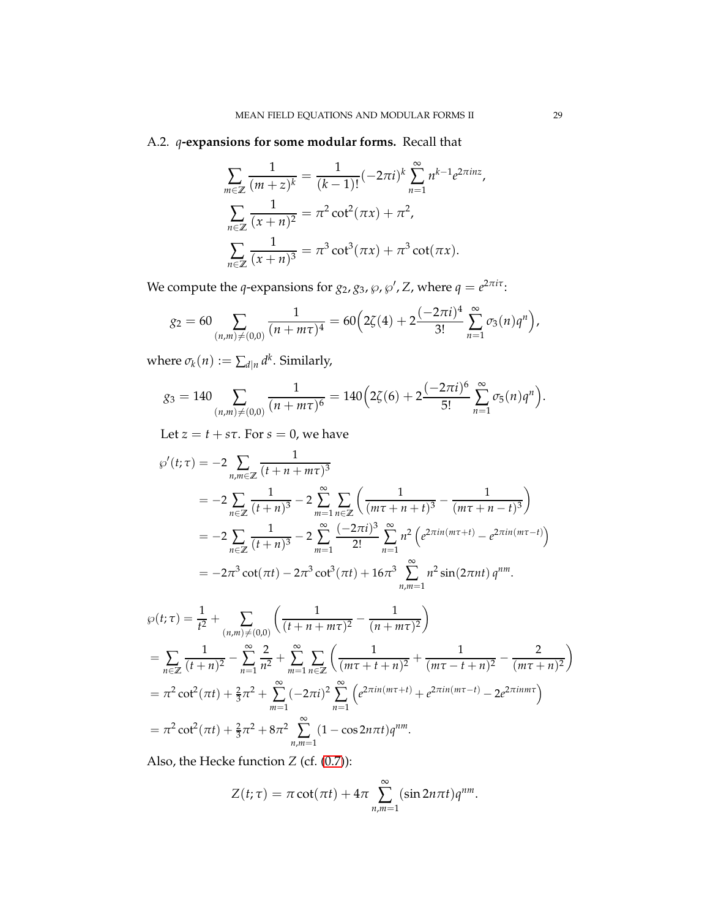# A.2. *q***-expansions for some modular forms.** Recall that

$$
\sum_{m\in\mathbb{Z}}\frac{1}{(m+z)^k} = \frac{1}{(k-1)!}(-2\pi i)^k \sum_{n=1}^{\infty} n^{k-1}e^{2\pi i n z},
$$

$$
\sum_{n\in\mathbb{Z}}\frac{1}{(x+n)^2} = \pi^2 \cot^2(\pi x) + \pi^2,
$$

$$
\sum_{n\in\mathbb{Z}}\frac{1}{(x+n)^3} = \pi^3 \cot^3(\pi x) + \pi^3 \cot(\pi x).
$$

We compute the *q*-expansions for  $g_2$ ,  $g_3$ ,  $\wp$ ,  $\wp'$ , Z, where  $q = e^{2\pi i \tau}$ :

$$
g_2 = 60 \sum_{(n,m)\neq(0,0)} \frac{1}{(n+m\tau)^4} = 60 \Big( 2\zeta(4) + 2 \frac{(-2\pi i)^4}{3!} \sum_{n=1}^{\infty} \sigma_3(n) q^n \Big),
$$

where  $\sigma_k(n) := \sum_{d|n} d^k$ . Similarly,

$$
g_3 = 140 \sum_{(n,m)\neq(0,0)} \frac{1}{(n+m\tau)^6} = 140 \Big( 2\zeta(6) + 2 \frac{(-2\pi i)^6}{5!} \sum_{n=1}^{\infty} \sigma_5(n) q^n \Big).
$$

Let  $z = t + s\tau$ . For  $s = 0$ , we have

$$
\wp'(t;\tau) = -2 \sum_{n,m \in \mathbb{Z}} \frac{1}{(t+n+m\tau)^3}
$$
  
=  $-2 \sum_{n \in \mathbb{Z}} \frac{1}{(t+n)^3} - 2 \sum_{m=1}^{\infty} \sum_{n \in \mathbb{Z}} \left( \frac{1}{(m\tau+n+t)^3} - \frac{1}{(m\tau+n-t)^3} \right)$   
=  $-2 \sum_{n \in \mathbb{Z}} \frac{1}{(t+n)^3} - 2 \sum_{m=1}^{\infty} \frac{(-2\pi i)^3}{2!} \sum_{n=1}^{\infty} n^2 \left( e^{2\pi i n(m\tau+t)} - e^{2\pi i n(m\tau-t)} \right)$   
=  $-2\pi^3 \cot(\pi t) - 2\pi^3 \cot^3(\pi t) + 16\pi^3 \sum_{n,m=1}^{\infty} n^2 \sin(2\pi nt) q^{nm}.$ 

$$
\wp(t;\tau) = \frac{1}{t^2} + \sum_{(n,m)\neq(0,0)} \left( \frac{1}{(t+n+m\tau)^2} - \frac{1}{(n+m\tau)^2} \right)
$$
  
= 
$$
\sum_{n\in\mathbb{Z}} \frac{1}{(t+n)^2} - \sum_{n=1}^{\infty} \frac{2}{n^2} + \sum_{m=1}^{\infty} \sum_{n\in\mathbb{Z}} \left( \frac{1}{(m\tau+t+n)^2} + \frac{1}{(m\tau-t+n)^2} - \frac{2}{(m\tau+n)^2} \right)
$$
  
= 
$$
\pi^2 \cot^2(\pi t) + \frac{2}{3}\pi^2 + \sum_{m=1}^{\infty} (-2\pi i)^2 \sum_{n=1}^{\infty} \left( e^{2\pi i n(m\tau+t)} + e^{2\pi i n(m\tau-t)} - 2e^{2\pi i n m\tau} \right)
$$
  
= 
$$
\pi^2 \cot^2(\pi t) + \frac{2}{3}\pi^2 + 8\pi^2 \sum_{n,m=1}^{\infty} (1 - \cos 2n\pi t) q^{nm}.
$$

Also, the Hecke function *Z* (cf. [\(0.7\)](#page-1-4)):

$$
Z(t;\tau) = \pi \cot(\pi t) + 4\pi \sum_{n,m=1}^{\infty} (\sin 2n\pi t) q^{nm}.
$$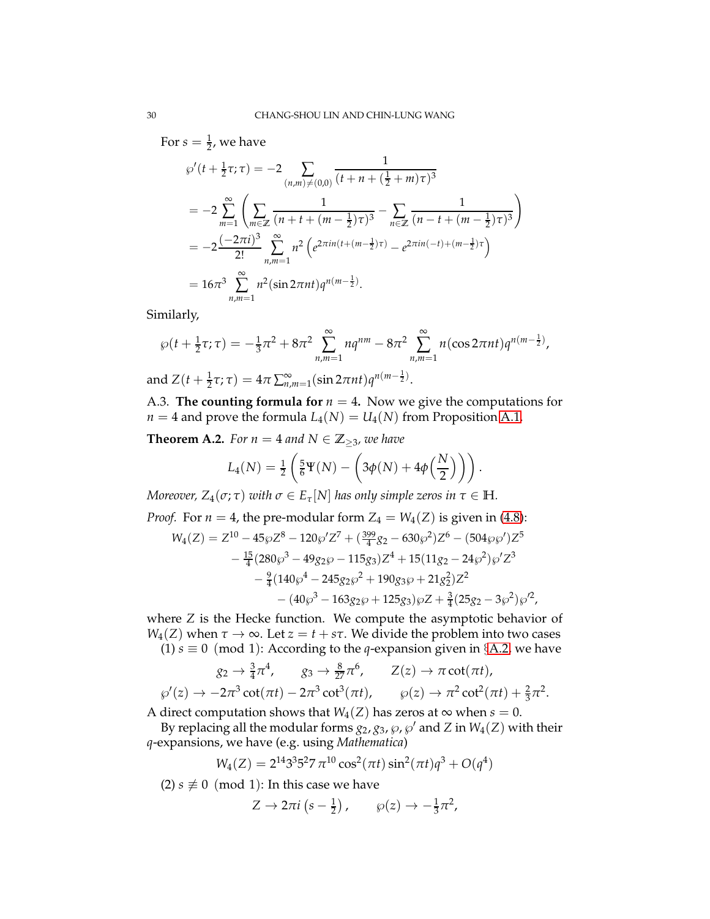For  $s=\frac{1}{2}$ , we have  $\wp'(t + \frac{1}{2}\tau;\tau) = -2$   $\sum$  $(n,m)\neq(0,0)$ 1  $(t + n + (\frac{1}{2} + m)\tau)^3$  $=-2$ ∞ ∑ *m*=1  $\left( \sum_{i=1}^{n}$ *m*∈**Z** 1  $\frac{1}{(n+t+(m-\frac{1}{2})\tau)^3} - \sum_{n\in\mathbb{Z}}$ *n*∈**Z** 1  $(n - t + (m - \frac{1}{2})\tau)^3$  $\setminus$  $=-2\frac{(-2\pi i)^3}{3!}$ 2! ∞ ∑ *n*,*m*=1  $n^2\left(e^{2\pi i n\left(t+(m-\frac{1}{2})\tau\right)}-e^{2\pi i n\left(-t\right)+(m-\frac{1}{2})\tau}\right)$  $= 16\pi^3 \sum_{n=1}^{\infty}$ *n*,*m*=1  $n^2(\sin 2\pi nt)q^{n(m-\frac{1}{2})}.$ 

Similarly,

$$
\wp(t + \frac{1}{2}\tau;\tau) = -\frac{1}{3}\pi^2 + 8\pi^2 \sum_{n,m=1}^{\infty} nq^{nm} - 8\pi^2 \sum_{n,m=1}^{\infty} n(\cos 2\pi nt)q^{n(m-\frac{1}{2})},
$$
  
and  $Z(t + \frac{1}{2}\tau;\tau) = 4\pi \sum_{n,m=1}^{\infty} (\sin 2\pi nt)q^{n(m-\frac{1}{2})}.$ 

A.3. **The counting formula for**  $n = 4$ . Now we give the computations for  $n = 4$  and prove the formula  $L_4(N) = U_4(N)$  from Proposition [A.1.](#page-26-2)

**Theorem A.2.** *For*  $n = 4$  *and*  $N \in \mathbb{Z}_{\geq 3}$ *, we have* 

$$
L_4(N) = \frac{1}{2} \left( \frac{5}{6} \Psi(N) - \left( 3\phi(N) + 4\phi\left(\frac{N}{2}\right) \right) \right).
$$

*Moreover,*  $Z_4(\sigma; \tau)$  *with*  $\sigma \in E_{\tau}[N]$  *has only simple zeros in*  $\tau \in \mathbb{H}$ *.* 

*Proof.* For 
$$
n = 4
$$
, the pre-modular form  $Z_4 = W_4(Z)$  is given in (4.8):  
\n
$$
W_4(Z) = Z^{10} - 45\wp Z^8 - 120\wp' Z^7 + (\frac{399}{4}g_2 - 630\wp^2) Z^6 - (504\wp\wp') Z^5 - \frac{15}{4} (280\wp^3 - 49g_2\wp - 115g_3) Z^4 + 15(11g_2 - 24\wp^2) \wp' Z^3 - \frac{9}{4} (140\wp^4 - 245g_2\wp^2 + 190g_3\wp + 21g_2^2) Z^2 - (40\wp^3 - 163g_2\wp + 125g_3) \wp Z + \frac{3}{4} (25g_2 - 3\wp^2) \wp'^2,
$$

where *Z* is the Hecke function. We compute the asymptotic behavior of  $W_4(Z)$  when  $\tau \to \infty$ . Let  $z = t + s\tau$ . We divide the problem into two cases (1)  $s \equiv 0 \pmod{1}$ : According to the *q*-expansion given in §[A.2,](#page-27-0) we have

$$
g_2 \to \frac{3}{4}\pi^4, \qquad g_3 \to \frac{8}{27}\pi^6, \qquad Z(z) \to \pi \cot(\pi t),
$$
  

$$
\wp'(z) \to -2\pi^3 \cot(\pi t) - 2\pi^3 \cot^3(\pi t), \qquad \wp(z) \to \pi^2 \cot^2(\pi t) + \frac{2}{3}\pi^2.
$$

A direct computation shows that  $W_4(Z)$  has zeros at  $\infty$  when  $s = 0$ .

By replacing all the modular forms  $g_2$ ,  $g_3$ ,  $\wp$ ,  $\wp'$  and  $Z$  in  $W_4(Z)$  with their *q*-expansions, we have (e.g. using *Mathematica*)

$$
W_4(Z) = 2^{14}3^35^27 \pi^{10} \cos^2(\pi t) \sin^2(\pi t) q^3 + O(q^4)
$$

(2)  $s \not\equiv 0 \pmod{1}$ : In this case we have

$$
Z \to 2\pi i \left(s - \frac{1}{2}\right), \qquad \wp(z) \to -\frac{1}{3}\pi^2,
$$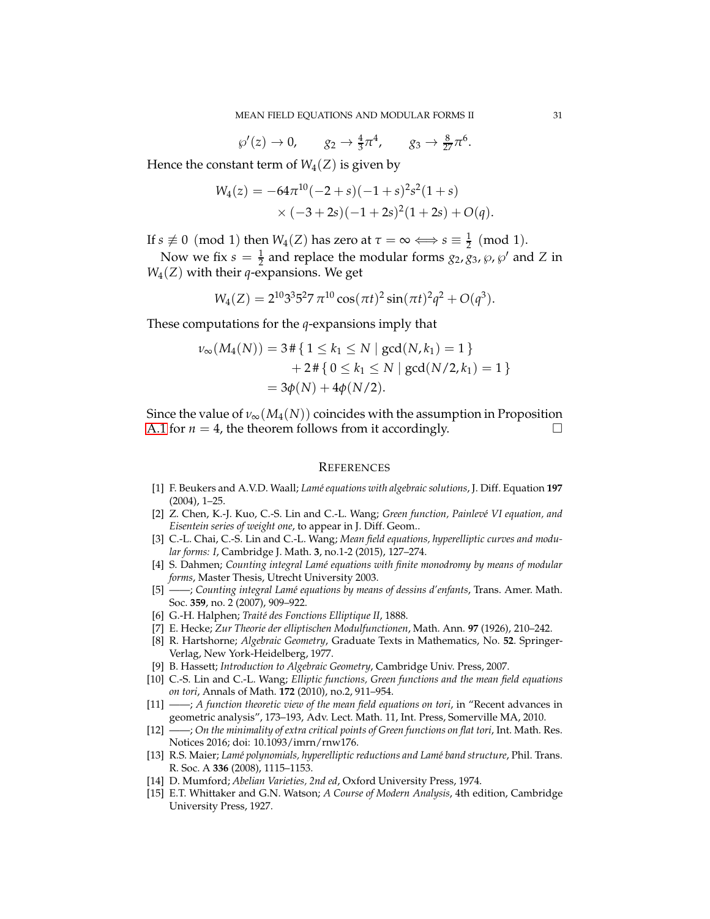$$
\wp'(z) \to 0
$$
,  $g_2 \to \frac{4}{3}\pi^4$ ,  $g_3 \to \frac{8}{27}\pi^6$ 

Hence the constant term of  $W_4(Z)$  is given by

$$
W_4(z) = -64\pi^{10}(-2+s)(-1+s)^2s^2(1+s)
$$
  
×  $(-3+2s)(-1+2s)^2(1+2s) + O(q)$ .

If  $s \not\equiv 0 \pmod{1}$  then  $W_4(Z)$  has zero at  $\tau = \infty \Longleftrightarrow s \equiv \frac{1}{2} \pmod{1}$ .

Now we fix  $s = \frac{1}{2}$  and replace the modular forms  $g_2$ ,  $g_3$ ,  $\wp$ ,  $\wp'$  and *Z* in *W*4(*Z*) with their *q*-expansions. We get

$$
W_4(Z) = 2^{10}3^35^27 \pi^{10} \cos(\pi t)^2 \sin(\pi t)^2 q^2 + O(q^3).
$$

These computations for the *q*-expansions imply that

$$
\nu_{\infty}(M_4(N)) = 3 \# \{ 1 \le k_1 \le N \mid \gcd(N, k_1) = 1 \} + 2 \# \{ 0 \le k_1 \le N \mid \gcd(N/2, k_1) = 1 \} = 3\phi(N) + 4\phi(N/2).
$$

Since the value of  $\nu_{\infty}(M_4(N))$  coincides with the assumption in Proposition [A.1](#page-26-2) for  $n = 4$ , the theorem follows from it accordingly.

#### <span id="page-30-1"></span>**REFERENCES**

- [1] F. Beukers and A.V.D. Waall; *Lam´e equations with algebraic solutions*, J. Diff. Equation **197** (2004), 1–25.
- <span id="page-30-5"></span>[2] Z. Chen, K.-J. Kuo, C.-S. Lin and C.-L. Wang; *Green function*, *Painlevé VI equation*, and *Eisentein series of weight one*, to appear in J. Diff. Geom..
- <span id="page-30-0"></span>[3] C.-L. Chai, C.-S. Lin and C.-L. Wang; *Mean field equations, hyperelliptic curves and modular forms: I*, Cambridge J. Math. **3**, no.1-2 (2015), 127–274.
- <span id="page-30-6"></span>[4] S. Dahmen; *Counting integral Lam´e equations with finite monodromy by means of modular forms*, Master Thesis, Utrecht University 2003.
- <span id="page-30-14"></span>[5] ——; *Counting integral Lam´e equations by means of dessins d'enfants*, Trans. Amer. Math. Soc. **359**, no. 2 (2007), 909–922.
- <span id="page-30-10"></span><span id="page-30-4"></span>[6] G.-H. Halphen; *Traité des Fonctions Elliptique II*, 1888.
- <span id="page-30-11"></span>[7] E. Hecke; *Zur Theorie der elliptischen Modulfunctionen*, Math. Ann. **97** (1926), 210–242.
- [8] R. Hartshorne; *Algebraic Geometry*, Graduate Texts in Mathematics, No. **52**. Springer-Verlag, New York-Heidelberg, 1977.
- <span id="page-30-13"></span><span id="page-30-2"></span>[9] B. Hassett; *Introduction to Algebraic Geometry*, Cambridge Univ. Press, 2007.
- [10] C.-S. Lin and C.-L. Wang; *Elliptic functions, Green functions and the mean field equations on tori*, Annals of Math. **172** (2010), no.2, 911–954.
- <span id="page-30-9"></span>[11] ——; *A function theoretic view of the mean field equations on tori*, in "Recent advances in geometric analysis", 173–193, Adv. Lect. Math. 11, Int. Press, Somerville MA, 2010.
- <span id="page-30-8"></span>[12] ——; *On the minimality of extra critical points of Green functions on flat tori*, Int. Math. Res. Notices 2016; doi: 10.1093/imrn/rnw176.
- <span id="page-30-7"></span>[13] R.S. Maier; *Lamé polynomials, hyperelliptic reductions and Lamé band structure*, Phil. Trans. R. Soc. A **336** (2008), 1115–1153.
- <span id="page-30-12"></span><span id="page-30-3"></span>[14] D. Mumford; *Abelian Varieties, 2nd ed*, Oxford University Press, 1974.
- [15] E.T. Whittaker and G.N. Watson; *A Course of Modern Analysis*, 4th edition, Cambridge University Press, 1927.

.